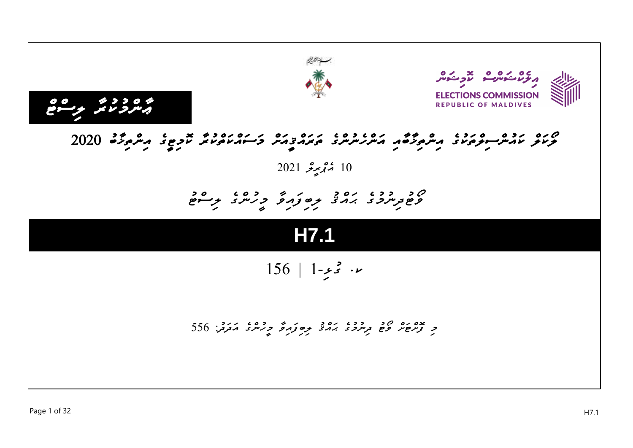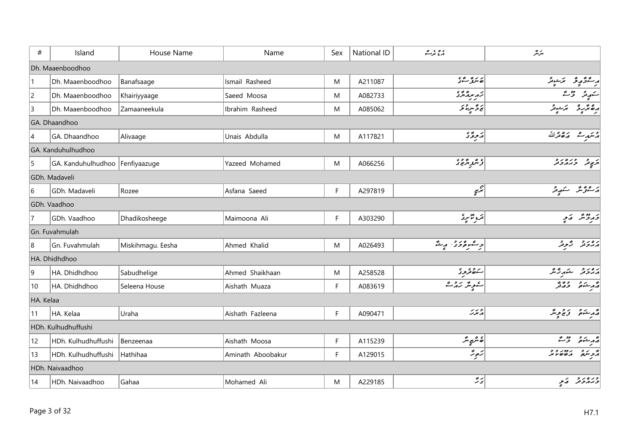| #              | Island                          | House Name        | Name              | Sex       | National ID | ، ه ، ره<br>مر، مر                             | ىئرىتر                                                       |  |  |
|----------------|---------------------------------|-------------------|-------------------|-----------|-------------|------------------------------------------------|--------------------------------------------------------------|--|--|
|                | Dh. Maaenboodhoo                |                   |                   |           |             |                                                |                                                              |  |  |
|                | Dh. Maaenboodhoo                | Banafsaage        | Ismail Rasheed    | M         | A211087     | ە ئىرە مەي                                     | ە سۈرگە ئۇ ئەستىدىگى<br>مەسىرگە ئۇ ئەستىدىگى<br>سۈرگەن قۇستى |  |  |
| 2              | Dh. Maaenboodhoo                | Khairiyyaage      | Saeed Moosa       | M         | A082733     | <br> בא מאמרי בא                               |                                                              |  |  |
| $\overline{3}$ | Dh. Maaenboodhoo                | Zamaaneekula      | Ibrahim Rasheed   | M         | A085062     | ىر ئ <sup>ې</sup> س <sub>ىرى</sub> نمىز        | رەنۇر ئىر<br>ئىستىر ئىسىر                                    |  |  |
|                | GA. Dhaandhoo                   |                   |                   |           |             |                                                |                                                              |  |  |
| 4              | GA. Dhaandhoo                   | Alivaage          | Unais Abdulla     | M         | A117821     | أزموه تما                                      | متعد مكافرالله                                               |  |  |
|                | GA. Kanduhulhudhoo              |                   |                   |           |             |                                                |                                                              |  |  |
| 5              | GA. Kanduhulhudhoo Fenfiyaazuge |                   | Yazeed Mohamed    | M         | A066256     | ۇ شرېر پېړۍ                                    | بر د دره د د                                                 |  |  |
|                | GDh. Madaveli                   |                   |                   |           |             |                                                |                                                              |  |  |
| 6              | GDh. Madaveli                   | Rozee             | Asfana Saeed      | F         | A297819     | جرمج                                           | ى سىرقىش سىمپەش                                              |  |  |
|                | GDh. Vaadhoo                    |                   |                   |           |             |                                                |                                                              |  |  |
|                | GDh. Vaadhoo                    | Dhadikosheege     | Maimoona Ali      | F         | A303290     | نز ۽ تڏ <sub>سيرن</sub> ئ<br>مسر               | دُروش كمو                                                    |  |  |
|                | Gn. Fuvahmulah                  |                   |                   |           |             |                                                |                                                              |  |  |
| 8              | Gn. Fuvahmulah                  | Miskihmagu. Eesha | Ahmed Khalid      | ${\sf M}$ | A026493     | و شره دو د په                                  | پرورو رژوپر                                                  |  |  |
|                | HA. Dhidhdhoo                   |                   |                   |           |             |                                                |                                                              |  |  |
| 9              | HA. Dhidhdhoo                   | Sabudhelige       | Ahmed Shaikhaan   | M         | A258528     | ئەھ <sup>ۆ</sup> رىرى<br>سەھ <sup>ۆ</sup> رىرى | أرەر ئىستىر شىر                                              |  |  |
| $ 10\rangle$   | HA. Dhidhdhoo                   | Seleena House     | Aishath Muaza     | F         | A083619     | شویژ زړت                                       | وكرمشكم والأنجر                                              |  |  |
| HA. Kelaa      |                                 |                   |                   |           |             |                                                |                                                              |  |  |
| 11             | HA. Kelaa                       | Uraha             | Aishath Fazleena  | F         | A090471     | برىرىر                                         | وكمرشك وكالمحياش                                             |  |  |
|                | HDh. Kulhudhuffushi             |                   |                   |           |             |                                                |                                                              |  |  |
| 12             | HDh. Kulhudhuffushi             | Benzeenaa         | Aishath Moosa     | F         | A115239     | ھَ سُرىپے سَّر                                 | ۇرىشۇ تەس                                                    |  |  |
| 13             | HDh. Kulhudhuffushi             | Hathihaa          | Aminath Aboobakur | F         | A129015     | ئەموڭ                                          | 77777<br>ړ د سره په                                          |  |  |
|                | HDh. Naivaadhoo                 |                   |                   |           |             |                                                |                                                              |  |  |
| 14             | HDh. Naivaadhoo                 | Gahaa             | Mohamed Ali       | M         | A229185     | ىرچ                                            | ورەر دىر                                                     |  |  |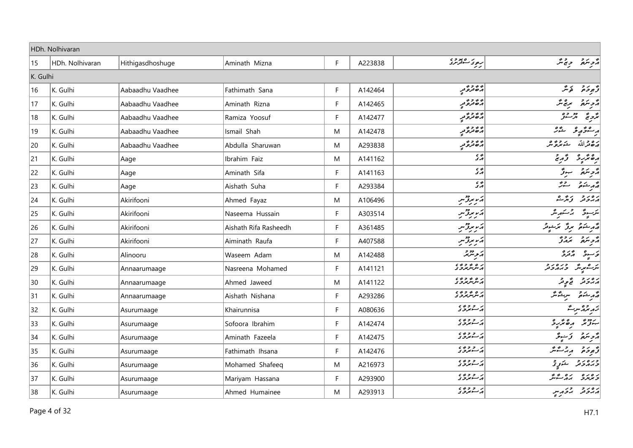|          | HDh. Nolhivaran |                  |                       |             |         |                                |                                                       |  |  |  |  |
|----------|-----------------|------------------|-----------------------|-------------|---------|--------------------------------|-------------------------------------------------------|--|--|--|--|
| 15       | HDh. Nolhivaran | Hithigasdhoshuge | Aminath Mizna         | F           | A223838 | اره د صدور<br>اره د سودرد      | أترجر تنغم وبخنثر                                     |  |  |  |  |
| K. Gulhi |                 |                  |                       |             |         |                                |                                                       |  |  |  |  |
| 16       | K. Gulhi        | Aabaadhu Vaadhee | Fathimath Sana        | F           | A142464 | ء ۽ پروڻو <sub>ب</sub>         | وحجوحهم<br>ۇرىگر                                      |  |  |  |  |
| 17       | K. Gulhi        | Aabaadhu Vaadhee | Aminath Rizna         | F           | A142465 | ء ۽ ويج <sub>مير</sub>         | أثريتهم<br>برج مثر                                    |  |  |  |  |
| 18       | K. Gulhi        | Aabaadhu Vaadhee | Ramiza Yoosuf         | F           | A142477 | ء ۽ دي<br>م                    | پر دي هر ده<br>بردي در سو                             |  |  |  |  |
| 19       | K. Gulhi        | Aabaadhu Vaadhee | Ismail Shah           | ${\sf M}$   | A142478 | ء ۽ پروڻي <sub>ر</sub>         | برحوم و شره                                           |  |  |  |  |
| 20       | K. Gulhi        | Aabaadhu Vaadhee | Abdulla Sharuwan      | ${\sf M}$   | A293838 | ء ۽ دي<br>ترخ <sup>ص</sup> ترج | برە قراللە<br>شە بەر ھ                                |  |  |  |  |
| 21       | K. Gulhi        | Aage             | Ibrahim Faiz          | ${\sf M}$   | A141162 | پر<br>مر                       | ىر ھەتترىر <i>3</i><br>تۇم ج                          |  |  |  |  |
| 22       | K. Gulhi        | Aage             | Aminath Sifa          | $\mathsf F$ | A141163 | پر ء<br>مر                     | أثر حريجهم<br>سبوتر                                   |  |  |  |  |
| 23       | K. Gulhi        | Aage             | Aishath Suha          | F           | A293384 | پو ء<br>مر                     | سترشح<br>لتجريشوه                                     |  |  |  |  |
| 24       | K. Gulhi        | Akirifooni       | Ahmed Fayaz           | M           | A106496 | اړ روپور<br>سربر سر            | رەرد رىر                                              |  |  |  |  |
| 25       | K. Gulhi        | Akirifooni       | Naseema Hussain       | F           | A303514 | اړ روپه دره<br><u>سر سر</u>    | ىكەسپىتى كەسكىرىند                                    |  |  |  |  |
| 26       | K. Gulhi        | Akirifooni       | Aishath Rifa Rasheedh | $\mathsf F$ | A361485 | ە ئىرىدىق بىر<br>مەسرىرىق      | ەگەرىشكى ئىرقى ئىرىشون <i>د</i>                       |  |  |  |  |
| 27       | K. Gulhi        | Akirifooni       | Aiminath Raufa        | F           | A407588 | ە ئىرىدىق بىر<br>ئىرىسىز       | ړې شروره                                              |  |  |  |  |
| 28       | K. Gulhi        | Alinooru         | Waseem Adam           | M           | A142488 | بروجوجر                        | كەسىرى ئەترى                                          |  |  |  |  |
| 29       | K. Gulhi        | Annaarumaage     | Nasreena Mohamed      | F           | A141121 | ر ه ۶ و ۶ ،<br>د س س پر و ی    | ىر ھېرىگە دىمەد د                                     |  |  |  |  |
| 30       | K. Gulhi        | Annaarumaage     | Ahmed Jaweed          | M           | A141122 | ر ۵ ۶ و ۶ و<br>۸ سرسربرو ی     | ر 270 كروتر<br>  <i>م</i> . <i>م</i> ركز كليم كليموتر |  |  |  |  |
| 31       | K. Gulhi        | Annaarumaage     | Aishath Nishana       | F           | A293286 | ر ه و و و ،<br>د سرس پرو د     | وُيرڪو سرڪس                                           |  |  |  |  |
| 32       | K. Gulhi        | Asurumaage       | Khairunnisa           | F           | A080636 | ر د د ده ،<br>د سنترو د        | ئەر بۇرگىرىگە                                         |  |  |  |  |
| 33       | K. Gulhi        | Asurumaage       | Sofoora Ibrahim       | $\mathsf F$ | A142474 | ر و و د »<br>در سوبوری         | ىبەدە بۇ<br>دە ئەرد                                   |  |  |  |  |
| 34       | K. Gulhi        | Asurumaage       | Aminath Fazeela       | F           | A142475 | ر د د ده ،<br>د سنترو د        | أزويتهم أوالمسوقر                                     |  |  |  |  |
| 35       | K. Gulhi        | Asurumaage       | Fathimath Ihsana      | F           | A142476 | ر و و د ،<br>پرستوری           | ژوده مدیش                                             |  |  |  |  |
| 36       | K. Gulhi        | Asurumaage       | Mohamed Shafeeq       | ${\sf M}$   | A216973 | ر و د پره<br>مرسورۍ            | ورەر دۇ سەر ئ                                         |  |  |  |  |
| 37       | K. Gulhi        | Asurumaage       | Mariyam Hassana       | $\mathsf F$ | A293900 | ر د د د و و<br>د سه مرد د      | برە ئەبۇ<br>ر ه بر ه<br><del>د</del> بر بر و          |  |  |  |  |
| 38       | K. Gulhi        | Asurumaage       | Ahmed Humainee        | M           | A293913 | ر د د په په<br>مرسورۍ          | رەرد دىرس                                             |  |  |  |  |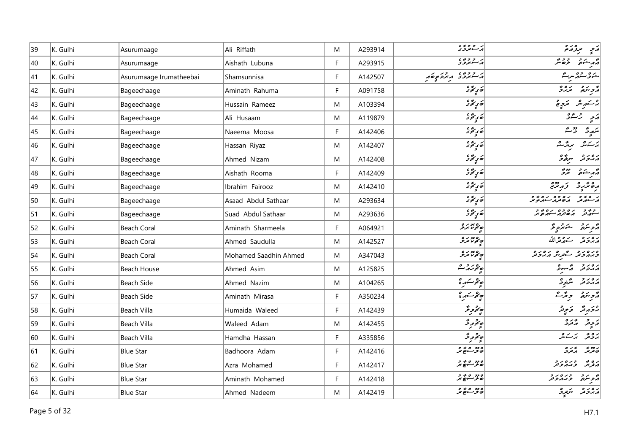| 39 | K. Gulhi | Asurumaage              | Ali Riffath           | M  | A293914 | بر و و د »<br>پرستوبرد د    | $510$<br>$593 - 59$                                 |
|----|----------|-------------------------|-----------------------|----|---------|-----------------------------|-----------------------------------------------------|
| 40 | K. Gulhi | Asurumaage              | Aishath Lubuna        | F. | A293915 | ر و و د »<br>پرسه پرو د     | و دره دور<br>مارستور موه ش                          |
| 41 | K. Gulhi | Asurumaage Irumatheebai | Shamsunnisa           | F. | A142507 |                             | شۇ ئەر قىرىس ئىس                                    |
| 42 | K. Gulhi | Bageechaage             | Aminath Rahuma        | F. | A091758 | ته په تنځ د<br>             | ىر ە بە<br>ئىرىرى<br>أثرم يترة                      |
| 43 | K. Gulhi | Bageechaage             | Hussain Rameez        | M  | A103394 | ے پر پر ہ<br> صح پر پر پ    | بر سکر مرکز مرکز پر ج                               |
| 44 | K. Gulhi | Bageechaage             | Ali Husaam            | M  | A119879 | ے پر پچ<br>م                | $rac{1}{2^{2}-2}$ $rac{1}{2}$                       |
| 45 | K. Gulhi | Bageechaage             | Naeema Moosa          | F  | A142406 | ے پر پڑی<br> صح پہ          | $\frac{2}{2}$ $\frac{3}{2}$ $\frac{2}{3}$           |
| 46 | K. Gulhi | Bageechaage             | Hassan Riyaz          | M  | A142407 | ر<br>صي گري                 | ىر ئەش بىر ئۈرگ                                     |
| 47 | K. Gulhi | Bageechaage             | Ahmed Nizam           | M  | A142408 | <br>  ته په گرۍ             | رەر دەرد                                            |
| 48 | K. Gulhi | Bageechaage             | Aishath Rooma         | F. | A142409 | لى بەتىمى<br>مەسىمى         | ود پر<br>مرگ<br>و گهر شوه <sub>و</sub>              |
| 49 | K. Gulhi | Bageechaage             | Ibrahim Fairooz       | M  | A142410 | <br>  خونځۍ                 | وه مر ده و در دره                                   |
| 50 | K. Gulhi | Bageechaage             | Asaad Abdul Sathaar   | M  | A293634 | <br>  خونځۍ                 | ره وه ره د و<br>پره ترو سوړه د<br>ر ۱۹۴۵<br>در سرور |
| 51 | K. Gulhi | Bageechaage             | Suad Abdul Sathaar    | M  | A293636 | <br>  خونوي                 | כיב נסכם נסיבים                                     |
| 52 | K. Gulhi | <b>Beach Coral</b>      | Aminath Sharmeela     | F  | A064921 | پەنزىر ئەر                  | أأوبتم فكالمروغ                                     |
| 53 | K. Gulhi | <b>Beach Coral</b>      | Ahmed Saudulla        | M  | A142527 | ەم كىرىدە<br>مەكرىم تىرىخە  | رەرو سەرولله                                        |
| 54 | K. Gulhi | <b>Beach Coral</b>      | Mohamed Saadhin Ahmed | M  | A347043 | چې ته تر و                  | ورەرو گورى كەرو                                     |
| 55 | K. Gulhi | <b>Beach House</b>      | Ahmed Asim            | M  | A125825 | ئەمخەر جەشىر                | أرور ومبور                                          |
| 56 | K. Gulhi | <b>Beach Side</b>       | Ahmed Nazim           | M  | A104265 | <br>  په محر سندر ؟<br>     | رەر د شرە                                           |
| 57 | K. Gulhi | <b>Beach Side</b>       | Aminath Mirasa        | F  | A350234 | ھەممەر ئە                   | ومحرسكم وبرسة                                       |
| 58 | K. Gulhi | Beach Villa             | Humaida Waleed        | F  | A142439 | جو محرمو محر                | برْدَمْرِ مَّرْ<br>ءَ وِدْ                          |
| 59 | K. Gulhi | Beach Villa             | Waleed Adam           | M  | A142455 | ھەتچرە ئۇ                   | كروثر المزرو                                        |
| 60 | K. Gulhi | Beach Villa             | Hamdha Hassan         | F  | A335856 | ھەتمۇھەقتە                  | پر ۱۹ پی<br>برسەيىتىر                               |
| 61 | K. Gulhi | <b>Blue Star</b>        | Badhoora Adam         | F  | A142416 | ه دو ۱۵ پور<br>  حو شريع تر | ردو به بره<br><i>م</i> حتر <i>بر</i> گرو            |
| 62 | K. Gulhi | <b>Blue Star</b>        | Azra Mohamed          | F  | A142417 | ە دەھەر<br>ھۈسىۋىر          | ر ہ<br>مرمگر<br>و ره ر د<br><i>د ب</i> رگرفر        |
| 63 | K. Gulhi | <b>Blue Star</b>        | Aminath Mohamed       | F. | A142418 | ە دەھەر<br>ھۈسىۋىر          | و رە ر د<br>تر پر تر تر<br>أرمز                     |
| 64 | K. Gulhi | <b>Blue Star</b>        | Ahmed Nadeem          | M  | A142419 | ەددە يە د                   | رەر ئىبرۇ                                           |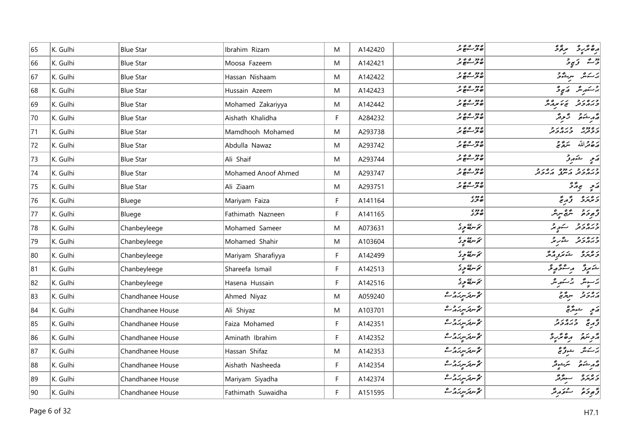| 65 | K. Gulhi | <b>Blue Star</b> | Ibrahim Rizam       | M           | A142420 | ە دەھ بەر                                   | ىمرەنچە<br>د ه پژر د<br>د                                                                                                                                                       |
|----|----------|------------------|---------------------|-------------|---------|---------------------------------------------|---------------------------------------------------------------------------------------------------------------------------------------------------------------------------------|
| 66 | K. Gulhi | <b>Blue Star</b> | Moosa Fazeem        | M           | A142421 | ە دەھەر<br>ھۈسىۋىر                          | الرحم ترىپى 3                                                                                                                                                                   |
| 67 | K. Gulhi | <b>Blue Star</b> | Hassan Nishaam      | M           | A142422 | ە دەھەر<br>ھىرىسىۋىر                        | بركسكر سريقو                                                                                                                                                                    |
| 68 | K. Gulhi | <b>Blue Star</b> | Hussain Azeem       | M           | A142423 | ە دەھەر<br>ھىرىسىۋىر                        | يز سکه شه مکم کرد که در                                                                                                                                                         |
| 69 | K. Gulhi | <b>Blue Star</b> | Mohamed Zakariyya   | M           | A142442 | ه دو ۱۵ پور<br>  حو شريع تر                 | כנסנכ נגבית                                                                                                                                                                     |
| 70 | K. Gulhi | <b>Blue Star</b> | Aishath Khalidha    | $\mathsf F$ | A284232 | ە دو مەر                                    | أقهر مشترة المتحرقة                                                                                                                                                             |
| 71 | K. Gulhi | <b>Blue Star</b> | Mamdhooh Mohamed    | M           | A293738 | ە دوم بور<br>ھۈسىۋىمە                       | ر ס כם פי פי כל<br><mark>ק</mark> רנקוק בי הרבית                                                                                                                                |
| 72 | K. Gulhi | <b>Blue Star</b> | Abdulla Nawaz       | M           | A293742 | ە دەھەر<br>ھۈسىۋىر                          | مَرْحَدِ اللّه<br>ىر ئەر<br>سرە ئى                                                                                                                                              |
| 73 | K. Gulhi | <b>Blue Star</b> | Ali Shaif           | M           | A293744 | ە دەھەر<br>ھىرىسىۋىر                        | أتذمي المشمروقر                                                                                                                                                                 |
| 74 | K. Gulhi | <b>Blue Star</b> | Mohamed Anoof Ahmed | M           | A293747 | ەددە يە د                                   | כנסגב גדום גסגב<br>בגמבת מייטל, מגבת                                                                                                                                            |
| 75 | K. Gulhi | <b>Blue Star</b> | Ali Ziaam           | M           | A293751 | ە دورە ئە ج<br>ھۆرسىۋىر                     | $\begin{array}{cc} 2\overset{\circ}{\mathcal{A}}_{\mathcal{C}} & \overset{\circ}{\mathcal{A}}_{\mathcal{A}} \\ \end{array}$                                                     |
| 76 | K. Gulhi | Bluege           | Mariyam Faiza       | F           | A141164 | ه دد ›<br>حور                               | وبودو<br>توگريج                                                                                                                                                                 |
| 77 | K. Gulhi | Bluege           | Fathimath Nazneen   | F           | A141165 | ه دد ><br>ن م                               | ۇي <sub>م</sub> وڭ ئىتى بېرىتر                                                                                                                                                  |
| 78 | K. Gulhi | Chanbeyleege     | Mohamed Sameer      | M           | A073631 | كوسكة ويح                                   | ورەرو سكوپر                                                                                                                                                                     |
| 79 | K. Gulhi | Chanbeyleege     | Mohamed Shahir      | M           | A103604 | ى<br>كۆس <sub>تە</sub> ئو ئ                 | وره دو شرح                                                                                                                                                                      |
| 80 | K. Gulhi | Chanbeyleege     | Mariyam Sharafiyya  | $\mathsf F$ | A142499 | ىمەستەم .<br>ئ                              | בינות ביותר הי                                                                                                                                                                  |
| 81 | K. Gulhi | Chanbeyleege     | Shareefa Ismail     | F           | A142513 | كوسكة وتح                                   | شمېر مەدەپ                                                                                                                                                                      |
| 82 | K. Gulhi | Chanbeyleege     | Hasena Hussain      | F           | A142516 | كوس تفود                                    | ىزىيەنىڭ بۇسكىرىش                                                                                                                                                               |
| 83 | K. Gulhi | Chandhanee House | Ahmed Niyaz         | M           | A059240 | مۇسترى <i>پرىدى</i><br>مۇسترى <i>پرىدى</i>  | גם גב תוצב                                                                                                                                                                      |
| 84 | K. Gulhi | Chandhanee House | Ali Shiyaz          | ${\sf M}$   | A103701 | ڭۇس <sub>ل</sub> ىرىدىرگەش                  | $\begin{array}{cc} \mathcal{O} \overset{\sigma}{\rightarrow} & \mathcal{O} \overset{\sigma}{\rightarrow} & \mathcal{O} \overset{\sigma}{\rightarrow} & \mathcal{O} \end{array}$ |
| 85 | K. Gulhi | Chandhanee House | Faiza Mohamed       | F           | A142351 | ڭۇسىترىس <i>رى</i> گە <sup>م</sup>          | وٌ مع العراق وراد                                                                                                                                                               |
| 86 | K. Gulhi | Chandhanee House | Aminath Ibrahim     | F           | A142352 | ى<br>ئۆستىر س <sub>ىر</sub> رىمى            | ە ھەمرىر 2<br>م<br>أرمر وسرة                                                                                                                                                    |
| 87 | K. Gulhi | Chandhanee House | Hassan Shifaz       | M           | A142353 | ڭۇس <sub>ل</sub> ىرىرىدىش                   | ىز سەنگە ئىسىر <i>ۇ ج</i>                                                                                                                                                       |
| 88 | K. Gulhi | Chandhanee House | Aishath Nasheeda    | F           | A142354 | ڭمەستەس <i>رى</i> گە ئە                     | وكرم شكوكر الكر شوقكر                                                                                                                                                           |
| 89 | K. Gulhi | Chandhanee House | Mariyam Siyadha     | F           | A142374 | ڭۇس <sub>ل</sub> ىرىدىرگەن<br>مۇسىرىرىدىكەن | سىدە<br>سىدىگە<br>ر ه ر ه<br><del>ر</del> بربرو                                                                                                                                 |
| 90 | K. Gulhi | Chandhanee House | Fathimath Suwaidha  | F           | A151595 | ڭۇس <sub>ل</sub> رىتىرىش                    | أقرموه متقرمة                                                                                                                                                                   |
|    |          |                  |                     |             |         |                                             |                                                                                                                                                                                 |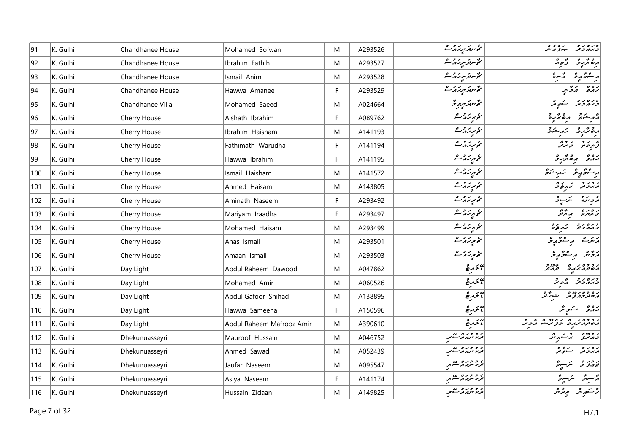| 91  | K. Gulhi | Chandhanee House | Mohamed Sofwan            | M | A293526 | ڭۇس <sub>ل</sub> رىرىدىكى م                 | ىبەد ۋىتر<br>و رە ر د<br><i>د بر</i> بر تر       |
|-----|----------|------------------|---------------------------|---|---------|---------------------------------------------|--------------------------------------------------|
| 92  | K. Gulhi | Chandhanee House | Ibrahim Fathih            | M | A293527 | ڭۇس <sub>ل</sub> ىرىدىرگەش                  | ەھ ئ <sup>ۆ</sup> ر ۋ<br>ۇ ئەر                   |
| 93  | K. Gulhi | Chandhanee House | Ismail Anim               | M | A293528 | ڭۇس <sub>ل</sub> ىرىدىرگەن<br>مۇسىرىرىدىكەن |                                                  |
| 94  | K. Gulhi | Chandhanee House | Hawwa Amanee              | F | A293529 | ڭۇس <sub>ل</sub> ىرىدىرگە <sup>م</sup>      |                                                  |
| 95  | K. Gulhi | Chandhanee Villa | Mohamed Saeed             | M | A024664 | ڭۇسىتر س <sub>ى</sub> رىتى<br>مەسىر         | و ر ه ر د<br>تر پر ژ تر<br>سكورقر                |
| 96  | K. Gulhi | Cherry House     | Aishath Ibrahim           | F | A089762 | ىم بىر ئەرگە<br>سىم بىر ئەرگە               | دە ئەرد<br>ۇ مەشىرە<br>مەم                       |
| 97  | K. Gulhi | Cherry House     | Ibrahim Haisham           | M | A141193 | ىج بىر ئەرمى<br>سى                          | رە ئرىر ئىرىشكى                                  |
| 98  | K. Gulhi | Cherry House     | Fathimath Warudha         | F | A141194 | ىج بىر ئەرمى<br>سى                          | و در درور                                        |
| 99  | K. Gulhi | Cherry House     | Hawwa Ibrahim             | F | A141195 | ىج بىر ئەر شە                               |                                                  |
| 100 | K. Gulhi | Cherry House     | Ismail Haisham            | M | A141572 | كخ برر تر شه                                | راعتور و المراجو                                 |
| 101 | K. Gulhi | Cherry House     | Ahmed Haisam              | M | A143805 | ىج بېرىر ئەشە                               |                                                  |
| 102 | K. Gulhi | Cherry House     | Aminath Naseem            | F | A293492 | ىج بىر ئەر <sup>م</sup> شە                  | وحريرة الترسوم                                   |
| 103 | K. Gulhi | Cherry House     | Mariyam Iraadha           | F | A293497 | ىج بىر ئەرمى<br>سى                          | رەرە مەگە                                        |
| 104 | K. Gulhi | Cherry House     | Mohamed Haisam            | M | A293499 | ىج بىر ئەرمى<br>سى                          | ورەرو كەنجى                                      |
| 105 | K. Gulhi | Cherry House     | Anas Ismail               | M | A293501 | ىج بىر ئەم <sup>ر ھ</sup>                   | ړ ټر مه پر عرکوړنځ                               |
| 106 | K. Gulhi | Cherry House     | Amaan Ismail              | M | A293503 | ې <sub>مو</sub> ر ته <sup>و</sup>           | أرومه برعوقوفه                                   |
| 107 | K. Gulhi | Day Light        | Abdul Raheem Dawood       | M | A047862 | پر خرچ                                      | پر دو و<br>تئرپر تئر<br>ره وه ره<br>مگافرو نربرد |
| 108 | K. Gulhi | Day Light        | Mohamed Amir              | M | A060526 | ۽ تزريح                                     |                                                  |
| 109 | K. Gulhi | Day Light        | Abdul Gafoor Shihad       | M | A138895 | بمخرج                                       | ره وه پردو و شورگور<br>های فرخ د تورگور          |
| 110 | K. Gulhi | Day Light        | Hawwa Sameena             | F | A150596 | بمخرج                                       | پەر ئەر ئىكى ئىگەن ئىگر                          |
| 111 | K. Gulhi | Day Light        | Abdul Raheem Mafrooz Amir | M | A390610 | ۽ خرم ه                                     | גם כם גם בנית בים הבית.<br>הסתה הגב בנית הבית    |
| 112 | K. Gulhi | Dhekunuasseyri   | Mauroof Hussain           | M | A046752 | ، د دره ».<br>در سرد د شوبر                 | נגרדים רביתית                                    |
| 113 | K. Gulhi | Dhekunuasseyri   | Ahmed Sawad               | M | A052439 | پر و بر ده به په<br>  تر با متر پر رشوبر    | ره ر و د و و<br>پرېرو تر مسکونتر                 |
| 114 | K. Gulhi | Dhekunuasseyri   | Jaufar Naseem             | M | A095547 | پر و و پر ه عه<br>  تر را سرو د سه سر       | د در بر سر سر د                                  |
| 115 | K. Gulhi | Dhekunuasseyri   | Asiya Naseem              | F | A141174 | <br>  قریبا متمد پر شوسی                    | أأرسوا المراسوة                                  |
| 116 | K. Gulhi | Dhekunuasseyri   | Hussain Zidaan            | M | A149825 | پر و وړه غومر<br>  فرما مترور شومر          | برستنز متحريرها                                  |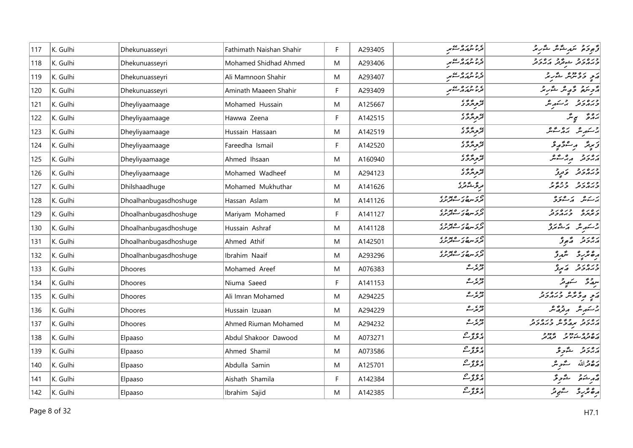| 117 | K. Gulhi | Dhekunuasseyri        | Fathimath Naishan Shahir | F  | A293405 | ه د د د ه عه<br>در ما مرد د ک                              | توجوجتم تتر مشركة لتقرير                     |
|-----|----------|-----------------------|--------------------------|----|---------|------------------------------------------------------------|----------------------------------------------|
| 118 | K. Gulhi | Dhekunuasseyri        | Mohamed Shidhad Ahmed    | M  | A293406 | ، د دره می به د                                            | ورەر د مەن دەر د<br>دېرمەدىر شەنگىر مەردىر   |
| 119 | K. Gulhi | Dhekunuasseyri        | Ali Mamnoon Shahir       | M  | A293407 | ه د د ده عه د                                              | أربح ووجهي المحربة                           |
| 120 | K. Gulhi | Dhekunuasseyri        | Aminath Maaeen Shahir    | F  | A293409 | ۍ د د پره عه<br>فرمانندن شم                                | أأوسكم وأرباه لمؤربر                         |
| 121 | K. Gulhi | Dheyliyaamaage        | Mohamed Hussain          | M  | A125667 | ائدوپژوي                                                   | כנים ניבי הליית יית                          |
| 122 | K. Gulhi | Dheyliyaamaage        | Hawwa Zeena              | F  | A142515 | م<br>مرگردگر                                               | پره مخ سمج مگر                               |
| 123 | K. Gulhi | Dheyliyaamaage        | Hussain Hassaan          | M  | A142519 | ن پر دی.<br>تر پر پر د                                     | بر سکر سر بره محمد ش                         |
| 124 | K. Gulhi | Dheyliyaamaage        | Fareedha Ismail          | F. | A142520 | ەي بەر بەر<br>قرىر تەرى                                    | دَىرِمَد رېستوگرېدى                          |
| 125 | K. Gulhi | Dheyliyaamaage        | Ahmed Ihsaan             | M  | A160940 | مُدْمِرةً دُ دُ                                            | رەرد مەشقىر                                  |
| 126 | K. Gulhi | Dheyliyaamaage        | Mohamed Wadheef          | M  | A294123 | تۇجەدىرى<br>  تۈجەدىرى                                     | وره ر و در و<br>  <i>و پر پر د</i> و د عربی  |
| 127 | K. Gulhi | Dhilshaadhuge         | Mohamed Mukhuthar        | M  | A141626 | و ه شگ <sup>و</sup> و <sup>ج</sup>                         | כנסני ככלי<br><i>כג</i> וכני כני <i>פ</i> א  |
| 128 | K. Gulhi | Dhoalhanbugasdhoshuge | Hassan Aslam             | M  | A141126 | ہ پر برد پر و ۽<br>تري سرج <sub>ک</sub> سوتر <i>پر</i> ي   | برسەش برسىۋو                                 |
| 129 | K. Gulhi | Dhoalhanbugasdhoshuge | Mariyam Mohamed          | F  | A141127 | ہ ر در در ہے د د ،<br>تونوسرے <sub>ک</sub> سوتو <i>ر</i> و | נסנס כנסנכ<br><i>כאתב בג</i> ובע             |
| 130 | K. Gulhi | Dhoalhanbugasdhoshuge | Hussain Ashraf           | M  | A141128 | ہ ر پر در ہے د د د<br>تونو سرحاتی سسوتوری                  | برستهر شركت برده بره                         |
| 131 | K. Gulhi | Dhoalhanbugasdhoshuge | Ahmed Athif              | M  | A142501 | ہ ر در در ہے دی۔<br>تونو سرحاتی سے توسری                   | رەرد ئەر                                     |
| 132 | K. Gulhi | Dhoalhanbugasdhoshuge | Ibrahim Naaif            | M  | A293296 | ہ ر پر در ہے د د ۔<br>ترتو سرحاتی سے توسری                 | رە ئۈر ئىسىر ئىسىر                           |
| 133 | K. Gulhi | <b>Dhoores</b>        | Mohamed Areef            | M  | A076383 | دد ۽ ه                                                     | وره دو دره                                   |
| 134 | K. Gulhi | <b>Dhoores</b>        | Niuma Saeed              | F. | A141153 | دد ۽ ه                                                     | سرچرم سکوپنر                                 |
| 135 | K. Gulhi | <b>Dhoores</b>        | Ali Imran Mohamed        | M  | A294225 | ود ۽ ه<br>تريمر ڪ                                          | د د مرد ده دره د د                           |
| 136 | K. Gulhi | <b>Dhoores</b>        | Hussain Izuaan           | M  | A294229 | ود ۽ ه<br>تعريمر ڪ                                         | برستنه شرور مرفرها المرامز                   |
| 137 | K. Gulhi | <b>Dhoores</b>        | Ahmed Riuman Mohamed     | M  | A294232 | ود ۽ ه                                                     | גם גב בבים כגם גב<br>גגבת הגבלית בגבבת       |
| 138 | K. Gulhi | Elpaaso               | Abdul Shakoor Dawood     | M  | A073271 | ەر بۇرم                                                    | ره وه ردد د پردد د<br>پرده ترپر شونړ ترپر تر |
| 139 | K. Gulhi | Elpaaso               | Ahmed Shamil             | M  | A073586 | ە ۋېۋرى                                                    | رەرد شەرۋ                                    |
| 140 | K. Gulhi | Elpaaso               | Abdulla Samin            | M  | A125701 | پروپژ م                                                    | رەقمەللە گەرىر                               |
| 141 | K. Gulhi | Elpaaso               | Aishath Shamila          | F. | A142384 | پروبر م<br>  پروبر م                                       | ا پر مرکز د<br>اور مشوه<br>ستگرگر            |
| 142 | K. Gulhi | Elpaaso               | Ibrahim Sajid            | M  | A142385 | ەر ۋېچە م                                                  | رە ئرىر ئىستىمىز                             |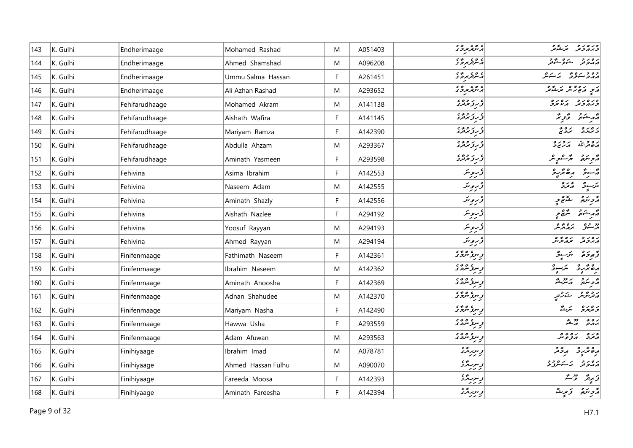| 143 | K. Gulhi | Endherimaage   | Mohamed Rashad     | M           | A051403 | ى مەمگە پەرى<br>مەمگە پرىرى                      | ورەر و پرشگانى                                                                                                                                                                                                                  |
|-----|----------|----------------|--------------------|-------------|---------|--------------------------------------------------|---------------------------------------------------------------------------------------------------------------------------------------------------------------------------------------------------------------------------------|
| 144 | K. Gulhi | Endherimaage   | Ahmed Shamshad     | M           | A096208 | پر مرکز برگری<br>  مرکز برگری                    | رەرە بەۋبۇر                                                                                                                                                                                                                     |
| 145 | K. Gulhi | Endherimaage   | Ummu Salma Hassan  | F           | A261451 | ې ه پر پر پر په په<br>م                          | دە دىرە ئەسەر                                                                                                                                                                                                                   |
| 146 | K. Gulhi | Endherimaage   | Ali Azhan Rashad   | M           | A293652 | ې وي په په<br>د سرپر پرد ک                       | ە ئەرەپى ئەرەپى                                                                                                                                                                                                                 |
| 147 | K. Gulhi | Fehifarudhaage | Mohamed Akram      | M           | A141138 | <br>دسرو ترویخ                                   | כנסנכ נסנס<br>כגמכת העיבב                                                                                                                                                                                                       |
| 148 | K. Gulhi | Fehifarudhaage | Aishath Wafira     | F           | A141145 | ې په د وي.<br>د برو مرمره                        | أمر المشمور والمحمور                                                                                                                                                                                                            |
| 149 | K. Gulhi | Fehifarudhaage | Mariyam Ramza      | F           | A142390 | ۇرۇپرىژى                                         |                                                                                                                                                                                                                                 |
| 150 | K. Gulhi | Fehifarudhaage | Abdulla Ahzam      | M           | A293367 | اء ري <i>ز ج</i> مع ته<br>  تو سر تر تر تر تر ته | ەھەراللە<br>ەرىبى                                                                                                                                                                                                               |
| 151 | K. Gulhi | Fehifarudhaage | Aminath Yasmeen    | F           | A293598 | <br> زىرىق بىرتىرى                               | ۇچرىنى ئۇسىچ                                                                                                                                                                                                                    |
| 152 | K. Gulhi | Fehivina       | Asima Ibrahim      | F.          | A142553 | ۇر <sub>ە</sub> بىر                              | برە ئۆرۈ<br>لەسبوقر                                                                                                                                                                                                             |
| 153 | K. Gulhi | Fehivina       | Naseem Adam        | M           | A142555 | ۇروپر                                            | پەر ە<br>مەنزۈ<br>ىئەسەۋ                                                                                                                                                                                                        |
| 154 | K. Gulhi | Fehivina       | Aminath Shazly     | $\mathsf F$ | A142556 | ۇروپر<br>مەم                                     | ۇ جە سىيىتى<br>مە<br>ے جمعے مح                                                                                                                                                                                                  |
| 155 | K. Gulhi | Fehivina       | Aishath Nazlee     | $\mathsf F$ | A294192 | ۇروپر                                            | و مشهور موجد موجد استرات استرات استرات استرات المرات المرات المرات المرات المرات المرات المرات المرات المرات ا<br>مرات المرات المرات المرات المرات المرات المرات المرات المرات المرات المرات المرات المرات المرات المرات المرات |
| 156 | K. Gulhi | Fehivina       | Yoosuf Rayyan      | M           | A294193 | ۇروپر<br>مەم                                     | מ כם גם מם.<br>תודוב המתית                                                                                                                                                                                                      |
| 157 | K. Gulhi | Fehivina       | Ahmed Rayyan       | M           | A294194 | ۇر <sub>جو</sub> ىتر                             | גם גם גם בם<br>הגבע <mark>גה</mark> תית                                                                                                                                                                                         |
| 158 | K. Gulhi | Finifenmaage   | Fathimath Naseem   | $\mathsf F$ | A142361 | ى <sub>ر س</sub> وڭرىگە ئ                        | تو پر دو سرب و                                                                                                                                                                                                                  |
| 159 | K. Gulhi | Finifenmaage   | Ibrahim Naseem     | M           | A142362 | ر سرز مرد <sup>ی</sup>                           |                                                                                                                                                                                                                                 |
| 160 | K. Gulhi | Finifenmaage   | Aminath Anoosha    | F.          | A142369 | ى <sub>ر س</sub> وڭرىگە ئ                        |                                                                                                                                                                                                                                 |
| 161 | K. Gulhi | Finifenmaage   | Adnan Shahudee     | M           | A142370 | و سرڈ شرچ کا                                     | ر و عرفر شکره در                                                                                                                                                                                                                |
| 162 | K. Gulhi | Finifenmaage   | Mariyam Nasha      | F.          | A142490 | اربىر ئەھمىي                                     | ر ه ر ه<br><del>ر</del> بربرگ<br>سترينتم                                                                                                                                                                                        |
| 163 | K. Gulhi | Finifenmaage   | Hawwa Usha         | F           | A293559 | وسؤء مح                                          | ره و در د                                                                                                                                                                                                                       |
| 164 | K. Gulhi | Finifenmaage   | Adam Afuwan        | M           | A293563 | ى <sub>ر س</sub> وڭرىگە ئ                        | پوره ده په م                                                                                                                                                                                                                    |
| 165 | K. Gulhi | Finihiyaage    | Ibrahim Imad       | M           | A078781 | و سربر پژی<br>بر بر برگ                          | גם <i>ג'י</i> ב גבע                                                                                                                                                                                                             |
| 166 | K. Gulhi | Finihiyaage    | Ahmed Hassan Fulhu | M           | A090070 | و سربر پژی<br>مربر برگ                           | رەرد كەكتىر <u>دى</u>                                                                                                                                                                                                           |
| 167 | K. Gulhi | Finihiyaage    | Fareeda Moosa      | F.          | A142393 | و سربر پژی<br>تر بر بردی                         | أَوَ يَرِمَّزُ الْمَرْ شُرْ                                                                                                                                                                                                     |
| 168 | K. Gulhi | Finihiyaage    | Aminath Fareesha   | F           | A142394 | و سربر پر د<br>بر سربر دی                        | أأوشي وتبريث                                                                                                                                                                                                                    |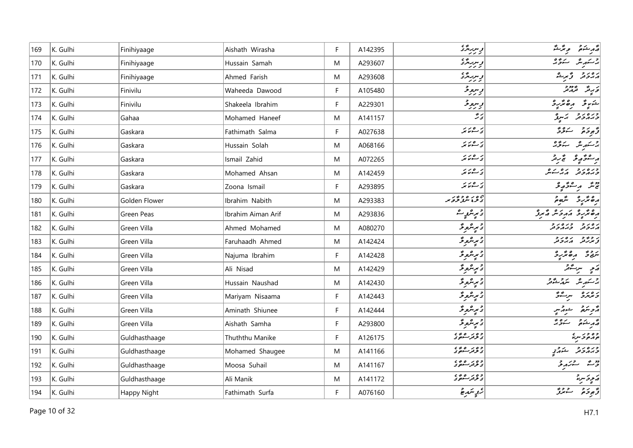| K. Gulhi<br>F<br>A142395<br>Aishath Wirasha<br>169<br>Finihiyaage<br>او مدر پرچ<br>او مدر پرچ<br>K. Gulhi<br>Hussain Samah<br>A293607<br>170<br>Finihiyaage<br>M<br>رەرد ۋىرى<br>و سربر پر د<br>زیر بر<br>K. Gulhi<br>Ahmed Farish<br>A293608<br>171<br>Finihiyaage<br>M<br>او سره څه<br><u>سب</u><br>Waheeda Dawood<br>K. Gulhi<br>Finivilu<br>F.<br>A105480<br>172<br>اوسعد څه<br><u>ست</u><br>Shakeela Ibrahim<br>F<br>A229301<br>173<br>K. Gulhi<br>Finivilu<br>$\overline{\mathcal{Z}}$<br>Mohamed Haneef<br>174<br>K. Gulhi<br>A141157<br>Gahaa<br>M<br>ر 2 مەند<br>K. Gulhi<br>Fathimath Salma<br>F<br>A027638<br>175<br>Gaskara<br>ر 2 ئەرىر<br>ئ<br>K. Gulhi<br>Hussain Solah<br>A068166<br>176<br>Gaskara<br>M<br>ى سەندىكە<br>K. Gulhi<br>Ismail Zahid<br>A072265<br>177<br>Gaskara<br>M<br>ى سەندىكە<br>K. Gulhi<br>Mohamed Ahsan<br>A142459<br>Gaskara<br>178<br>M<br>ى سەرىمىر<br>A293895<br>179<br>K. Gulhi<br>Zoona Ismail<br>F<br>Gaskara<br>ا ہے ور ہے وی در<br>  ی <del>م</del> ربح سمائی محرج س<br>سموم<br>A293383<br>K. Gulhi<br>Golden Flower<br>Ibrahim Nabith<br>180<br>M<br>مەر ئە ئەبر<br>  ئ <sub>ەسپى</sub> شر <sub>ىپ</sub> ە<br>Ibrahim Aiman Arif<br>K. Gulhi<br>Green Peas<br>A293836<br>181<br>M<br>دىمە پىر<br>ئەسمە پىر<br>و ره ر د<br>ر حد رح<br>K. Gulhi<br>Green Villa<br>Ahmed Mohamed<br>A080270<br>182<br>M<br>ۇ بېرىئر <sub>ى</sub> ر ئە<br>K. Gulhi<br>Green Villa<br>Faruhaadh Ahmed<br>A142424<br>183<br>M<br>د<br>دىموسرە دېگر<br>184<br>K. Gulhi<br>Green Villa<br>Najuma Ibrahim<br>F<br>A142428<br>  ئ <sup>ى</sup> مەيىرىمىزىگە<br>K. Gulhi<br>Green Villa<br>A142429<br>Ali Nisad<br>185<br>M<br>  ئ <sup>ى</sup> مەيىرىمىزىگە<br>K. Gulhi<br>Green Villa<br>Hussain Naushad<br>A142430<br>186<br>M<br>ۇ بېرىئر <sub>ى</sub> ر ئە<br>K. Gulhi<br>Green Villa<br>Mariyam Nisaama<br>F<br>A142443<br>187<br>ۇ بېرىئر <sub>ى</sub> ر ئە<br>K. Gulhi<br>Green Villa<br>Aminath Shiunee<br>A142444<br>188<br>F<br>د بر بر <sub>عوم</sub> وً<br>سەۋىر<br>Aishath Samha<br>F<br>K. Gulhi<br>Green Villa<br>A293800<br>189<br>و ه بر _ه پر و<br>پر موتر سعیږ<br>K. Gulhi<br>Thuththu Manike<br>$\mathsf F$<br>A126175<br>190<br>Guldhasthaage<br>و ه د ره پو و<br>د <del>ن</del> رتر شوی<br>سنكورتمي<br>K. Gulhi<br>A141166<br>191<br>Guldhasthaage<br>Mohamed Shaugee<br>M<br>و ه بر _ه پ <sub>ر</sub> ب <sub>ا</sub><br>بر <del>م</del> رتور — ده بر<br>192<br>K. Gulhi<br>Guldhasthaage<br>Moosa Suhail<br>A141167<br>M<br>و ه بر _ه پ <sub>ر</sub> ب <sub>ا</sub><br>بر <del>م</del> رتور — ده بر<br>K. Gulhi<br>A141172<br>193<br>Guldhasthaage<br>Ali Manik<br>M<br>ر و پر پر قح<br>Happy Night<br>Fathimath Surfa<br>F<br>A076160<br>194<br>K. Gulhi |  |  |  |                         |                                        |
|--------------------------------------------------------------------------------------------------------------------------------------------------------------------------------------------------------------------------------------------------------------------------------------------------------------------------------------------------------------------------------------------------------------------------------------------------------------------------------------------------------------------------------------------------------------------------------------------------------------------------------------------------------------------------------------------------------------------------------------------------------------------------------------------------------------------------------------------------------------------------------------------------------------------------------------------------------------------------------------------------------------------------------------------------------------------------------------------------------------------------------------------------------------------------------------------------------------------------------------------------------------------------------------------------------------------------------------------------------------------------------------------------------------------------------------------------------------------------------------------------------------------------------------------------------------------------------------------------------------------------------------------------------------------------------------------------------------------------------------------------------------------------------------------------------------------------------------------------------------------------------------------------------------------------------------------------------------------------------------------------------------------------------------------------------------------------------------------------------------------------------------------------------------------------------------------------------------------------------------------------------------------------------------------------------------------------------------------------------------------------------------------------------------------------------------------------------------------------------------------------------------------------------------------------------------------------------------------------------------------------------------------------------------------------------------------------------|--|--|--|-------------------------|----------------------------------------|
|                                                                                                                                                                                                                                                                                                                                                                                                                                                                                                                                                                                                                                                                                                                                                                                                                                                                                                                                                                                                                                                                                                                                                                                                                                                                                                                                                                                                                                                                                                                                                                                                                                                                                                                                                                                                                                                                                                                                                                                                                                                                                                                                                                                                                                                                                                                                                                                                                                                                                                                                                                                                                                                                                                        |  |  |  | و سربر پر می<br>مربر بر | م دارد و محمد المستقر<br>محمد المستقر  |
|                                                                                                                                                                                                                                                                                                                                                                                                                                                                                                                                                                                                                                                                                                                                                                                                                                                                                                                                                                                                                                                                                                                                                                                                                                                                                                                                                                                                                                                                                                                                                                                                                                                                                                                                                                                                                                                                                                                                                                                                                                                                                                                                                                                                                                                                                                                                                                                                                                                                                                                                                                                                                                                                                                        |  |  |  |                         | ج سمهر شرح در محمد ج                   |
|                                                                                                                                                                                                                                                                                                                                                                                                                                                                                                                                                                                                                                                                                                                                                                                                                                                                                                                                                                                                                                                                                                                                                                                                                                                                                                                                                                                                                                                                                                                                                                                                                                                                                                                                                                                                                                                                                                                                                                                                                                                                                                                                                                                                                                                                                                                                                                                                                                                                                                                                                                                                                                                                                                        |  |  |  |                         |                                        |
|                                                                                                                                                                                                                                                                                                                                                                                                                                                                                                                                                                                                                                                                                                                                                                                                                                                                                                                                                                                                                                                                                                                                                                                                                                                                                                                                                                                                                                                                                                                                                                                                                                                                                                                                                                                                                                                                                                                                                                                                                                                                                                                                                                                                                                                                                                                                                                                                                                                                                                                                                                                                                                                                                                        |  |  |  |                         | ءَ ٻير سمجھڻو                          |
|                                                                                                                                                                                                                                                                                                                                                                                                                                                                                                                                                                                                                                                                                                                                                                                                                                                                                                                                                                                                                                                                                                                                                                                                                                                                                                                                                                                                                                                                                                                                                                                                                                                                                                                                                                                                                                                                                                                                                                                                                                                                                                                                                                                                                                                                                                                                                                                                                                                                                                                                                                                                                                                                                                        |  |  |  |                         | شورقر برەتمرىر                         |
|                                                                                                                                                                                                                                                                                                                                                                                                                                                                                                                                                                                                                                                                                                                                                                                                                                                                                                                                                                                                                                                                                                                                                                                                                                                                                                                                                                                                                                                                                                                                                                                                                                                                                                                                                                                                                                                                                                                                                                                                                                                                                                                                                                                                                                                                                                                                                                                                                                                                                                                                                                                                                                                                                                        |  |  |  |                         | ورەر دىر                               |
|                                                                                                                                                                                                                                                                                                                                                                                                                                                                                                                                                                                                                                                                                                                                                                                                                                                                                                                                                                                                                                                                                                                                                                                                                                                                                                                                                                                                                                                                                                                                                                                                                                                                                                                                                                                                                                                                                                                                                                                                                                                                                                                                                                                                                                                                                                                                                                                                                                                                                                                                                                                                                                                                                                        |  |  |  |                         | ژ <sub>بو د</sub> ُ پروژ               |
|                                                                                                                                                                                                                                                                                                                                                                                                                                                                                                                                                                                                                                                                                                                                                                                                                                                                                                                                                                                                                                                                                                                                                                                                                                                                                                                                                                                                                                                                                                                                                                                                                                                                                                                                                                                                                                                                                                                                                                                                                                                                                                                                                                                                                                                                                                                                                                                                                                                                                                                                                                                                                                                                                                        |  |  |  |                         | چە يەر ئەنبە                           |
|                                                                                                                                                                                                                                                                                                                                                                                                                                                                                                                                                                                                                                                                                                                                                                                                                                                                                                                                                                                                                                                                                                                                                                                                                                                                                                                                                                                                                                                                                                                                                                                                                                                                                                                                                                                                                                                                                                                                                                                                                                                                                                                                                                                                                                                                                                                                                                                                                                                                                                                                                                                                                                                                                                        |  |  |  |                         | ر جۇرچە ئىچ بۇر                        |
|                                                                                                                                                                                                                                                                                                                                                                                                                                                                                                                                                                                                                                                                                                                                                                                                                                                                                                                                                                                                                                                                                                                                                                                                                                                                                                                                                                                                                                                                                                                                                                                                                                                                                                                                                                                                                                                                                                                                                                                                                                                                                                                                                                                                                                                                                                                                                                                                                                                                                                                                                                                                                                                                                                        |  |  |  |                         | ورەرو رەكش                             |
|                                                                                                                                                                                                                                                                                                                                                                                                                                                                                                                                                                                                                                                                                                                                                                                                                                                                                                                                                                                                                                                                                                                                                                                                                                                                                                                                                                                                                                                                                                                                                                                                                                                                                                                                                                                                                                                                                                                                                                                                                                                                                                                                                                                                                                                                                                                                                                                                                                                                                                                                                                                                                                                                                                        |  |  |  |                         | ى ئىر بەستىۋە يې                       |
|                                                                                                                                                                                                                                                                                                                                                                                                                                                                                                                                                                                                                                                                                                                                                                                                                                                                                                                                                                                                                                                                                                                                                                                                                                                                                                                                                                                                                                                                                                                                                                                                                                                                                                                                                                                                                                                                                                                                                                                                                                                                                                                                                                                                                                                                                                                                                                                                                                                                                                                                                                                                                                                                                                        |  |  |  |                         | رە ئۈرۈ                                |
|                                                                                                                                                                                                                                                                                                                                                                                                                                                                                                                                                                                                                                                                                                                                                                                                                                                                                                                                                                                                                                                                                                                                                                                                                                                                                                                                                                                                                                                                                                                                                                                                                                                                                                                                                                                                                                                                                                                                                                                                                                                                                                                                                                                                                                                                                                                                                                                                                                                                                                                                                                                                                                                                                                        |  |  |  |                         | رە ئ <sup>ۆ</sup> رۈ                   |
|                                                                                                                                                                                                                                                                                                                                                                                                                                                                                                                                                                                                                                                                                                                                                                                                                                                                                                                                                                                                                                                                                                                                                                                                                                                                                                                                                                                                                                                                                                                                                                                                                                                                                                                                                                                                                                                                                                                                                                                                                                                                                                                                                                                                                                                                                                                                                                                                                                                                                                                                                                                                                                                                                                        |  |  |  |                         | ر ه ر د<br>پر ژونر                     |
|                                                                                                                                                                                                                                                                                                                                                                                                                                                                                                                                                                                                                                                                                                                                                                                                                                                                                                                                                                                                                                                                                                                                                                                                                                                                                                                                                                                                                                                                                                                                                                                                                                                                                                                                                                                                                                                                                                                                                                                                                                                                                                                                                                                                                                                                                                                                                                                                                                                                                                                                                                                                                                                                                                        |  |  |  |                         | ر وه و بره ر و.<br>تو برگتر به مرکز مر |
|                                                                                                                                                                                                                                                                                                                                                                                                                                                                                                                                                                                                                                                                                                                                                                                                                                                                                                                                                                                                                                                                                                                                                                                                                                                                                                                                                                                                                                                                                                                                                                                                                                                                                                                                                                                                                                                                                                                                                                                                                                                                                                                                                                                                                                                                                                                                                                                                                                                                                                                                                                                                                                                                                                        |  |  |  |                         | يروو مقبرو                             |
|                                                                                                                                                                                                                                                                                                                                                                                                                                                                                                                                                                                                                                                                                                                                                                                                                                                                                                                                                                                                                                                                                                                                                                                                                                                                                                                                                                                                                                                                                                                                                                                                                                                                                                                                                                                                                                                                                                                                                                                                                                                                                                                                                                                                                                                                                                                                                                                                                                                                                                                                                                                                                                                                                                        |  |  |  |                         | أەسمج سرىستىقر                         |
|                                                                                                                                                                                                                                                                                                                                                                                                                                                                                                                                                                                                                                                                                                                                                                                                                                                                                                                                                                                                                                                                                                                                                                                                                                                                                                                                                                                                                                                                                                                                                                                                                                                                                                                                                                                                                                                                                                                                                                                                                                                                                                                                                                                                                                                                                                                                                                                                                                                                                                                                                                                                                                                                                                        |  |  |  |                         | جر کے مرکز میں شوقر                    |
|                                                                                                                                                                                                                                                                                                                                                                                                                                                                                                                                                                                                                                                                                                                                                                                                                                                                                                                                                                                                                                                                                                                                                                                                                                                                                                                                                                                                                                                                                                                                                                                                                                                                                                                                                                                                                                                                                                                                                                                                                                                                                                                                                                                                                                                                                                                                                                                                                                                                                                                                                                                                                                                                                                        |  |  |  |                         | رەرە س <sup>ەھ</sup>                   |
|                                                                                                                                                                                                                                                                                                                                                                                                                                                                                                                                                                                                                                                                                                                                                                                                                                                                                                                                                                                                                                                                                                                                                                                                                                                                                                                                                                                                                                                                                                                                                                                                                                                                                                                                                                                                                                                                                                                                                                                                                                                                                                                                                                                                                                                                                                                                                                                                                                                                                                                                                                                                                                                                                                        |  |  |  |                         | أأتر سكون الشوراكسير                   |
|                                                                                                                                                                                                                                                                                                                                                                                                                                                                                                                                                                                                                                                                                                                                                                                                                                                                                                                                                                                                                                                                                                                                                                                                                                                                                                                                                                                                                                                                                                                                                                                                                                                                                                                                                                                                                                                                                                                                                                                                                                                                                                                                                                                                                                                                                                                                                                                                                                                                                                                                                                                                                                                                                                        |  |  |  |                         | و گهر شکه د<br>مرگه                    |
|                                                                                                                                                                                                                                                                                                                                                                                                                                                                                                                                                                                                                                                                                                                                                                                                                                                                                                                                                                                                                                                                                                                                                                                                                                                                                                                                                                                                                                                                                                                                                                                                                                                                                                                                                                                                                                                                                                                                                                                                                                                                                                                                                                                                                                                                                                                                                                                                                                                                                                                                                                                                                                                                                                        |  |  |  |                         | وه ور<br>موړه <del>و</del> سربا        |
|                                                                                                                                                                                                                                                                                                                                                                                                                                                                                                                                                                                                                                                                                                                                                                                                                                                                                                                                                                                                                                                                                                                                                                                                                                                                                                                                                                                                                                                                                                                                                                                                                                                                                                                                                                                                                                                                                                                                                                                                                                                                                                                                                                                                                                                                                                                                                                                                                                                                                                                                                                                                                                                                                                        |  |  |  |                         | و ر ه ر د<br>تر پر ژ تر                |
|                                                                                                                                                                                                                                                                                                                                                                                                                                                                                                                                                                                                                                                                                                                                                                                                                                                                                                                                                                                                                                                                                                                                                                                                                                                                                                                                                                                                                                                                                                                                                                                                                                                                                                                                                                                                                                                                                                                                                                                                                                                                                                                                                                                                                                                                                                                                                                                                                                                                                                                                                                                                                                                                                                        |  |  |  |                         | الرحيح المتكهري                        |
|                                                                                                                                                                                                                                                                                                                                                                                                                                                                                                                                                                                                                                                                                                                                                                                                                                                                                                                                                                                                                                                                                                                                                                                                                                                                                                                                                                                                                                                                                                                                                                                                                                                                                                                                                                                                                                                                                                                                                                                                                                                                                                                                                                                                                                                                                                                                                                                                                                                                                                                                                                                                                                                                                                        |  |  |  |                         | وسموخة سررته                           |
|                                                                                                                                                                                                                                                                                                                                                                                                                                                                                                                                                                                                                                                                                                                                                                                                                                                                                                                                                                                                                                                                                                                                                                                                                                                                                                                                                                                                                                                                                                                                                                                                                                                                                                                                                                                                                                                                                                                                                                                                                                                                                                                                                                                                                                                                                                                                                                                                                                                                                                                                                                                                                                                                                                        |  |  |  |                         | و ده دوه                               |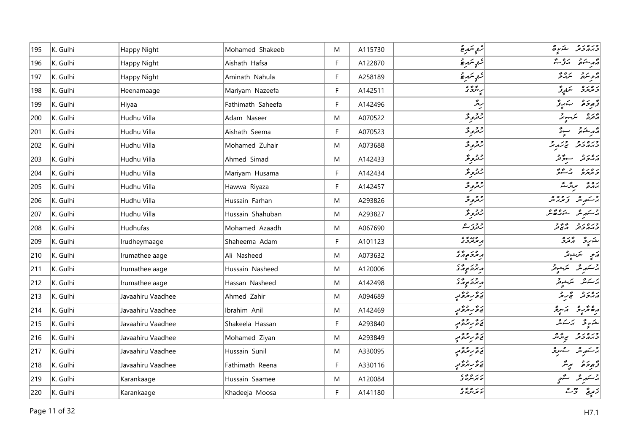| 195 | K. Gulhi | Happy Night       | Mohamed Shakeeb   | M           | A115730 | ژېږېدغ                         | ورەرو شەرە                                                                                                                                                                                                                          |
|-----|----------|-------------------|-------------------|-------------|---------|--------------------------------|-------------------------------------------------------------------------------------------------------------------------------------------------------------------------------------------------------------------------------------|
| 196 | K. Gulhi | Happy Night       | Aishath Hafsa     | F           | A122870 | ع بو سَر <sub>م</sub> ح        | ۇرىشكى برۇپ                                                                                                                                                                                                                         |
| 197 | K. Gulhi | Happy Night       | Aminath Nahula    | $\mathsf F$ | A258189 | ر و پر پر قح                   | أأروبتهم الترمر                                                                                                                                                                                                                     |
| 198 | K. Gulhi | Heenamaage        | Mariyam Nazeefa   | F.          | A142511 | رېژونه<br>په مرد د             | ر ه ر ه<br><del>د</del> بربرد<br>سَمَوِرَّ                                                                                                                                                                                          |
| 199 | K. Gulhi | Hiyaa             | Fathimath Saheefa | $\mathsf F$ | A142496 | رېژ                            | ىبە ئەرۇ<br>نژ جو <del>ز</del> حر                                                                                                                                                                                                   |
| 200 | K. Gulhi | Hudhu Villa       | Adam Naseer       | M           | A070522 | 2فرع قر                        | أرده مكرسوند                                                                                                                                                                                                                        |
| 201 | K. Gulhi | Hudhu Villa       | Aishath Seema     | F           | A070523 | ر د په وگ                      | وگهرڪو جو                                                                                                                                                                                                                           |
| 202 | K. Gulhi | Hudhu Villa       | Mohamed Zuhair    | M           | A073688 | 2قرە ئۇ                        | CLOLE 31017                                                                                                                                                                                                                         |
| 203 | K. Gulhi | Hudhu Villa       | Ahmed Simad       | M           | A142433 | رقرعر محر                      | دەر دەسەۋىر                                                                                                                                                                                                                         |
| 204 | K. Gulhi | Hudhu Villa       | Mariyam Husama    | F           | A142434 | رقره ومح                       | رەرە دېر                                                                                                                                                                                                                            |
| 205 | K. Gulhi | Hudhu Villa       | Hawwa Riyaza      | F           | A142457 | رقره ومحر                      | دەپر بىرگە شە                                                                                                                                                                                                                       |
| 206 | K. Gulhi | Hudhu Villa       | Hussain Farhan    | M           | A293826 | رقره ومح                       | بر سندر و محمد بر                                                                                                                                                                                                                   |
| 207 | K. Gulhi | Hudhu Villa       | Hussain Shahuban  | M           | A293827 | ر در و گ                       | جر شر مرض شوره مر                                                                                                                                                                                                                   |
| 208 | K. Gulhi | Hudhufas          | Mohamed Azaadh    | M           | A067690 | ژ ترې شه                       | وره رو په دو<br>د پروتر مځن                                                                                                                                                                                                         |
| 209 | K. Gulhi | Irudheymaage      | Shaheema Adam     | F           | A101123 | د وړ، د ،<br>د مرکز د          | أحدرته ومرو                                                                                                                                                                                                                         |
| 210 | K. Gulhi | Irumathee aage    | Ali Nasheed       | M           | A073632 | پر ټر ځو مړي<br>  په ټر څو مړي | أركمني المتراكيبي والمحر                                                                                                                                                                                                            |
| 211 | K. Gulhi | Irumathee aage    | Hussain Nasheed   | M           | A120006 | ە بەر ئەرەپى<br>ب              | چر کے مرکز میں اس کے مقدم کر اس کے مقدم کر اس کے مقدم کر اس کے مقدم کر کے لیے ان کے مقدم کے مقدم کے لیے ان کے<br>مقدم کر کے مقدم کے مقدم کے مقدم کر کے مقدم کر کے مقدم کر کے مقدم کر کر کے مقدم کر کر کے مقدم کر کر کر کر کر کے<br> |
| 212 | K. Gulhi | Irumathee aage    | Hassan Nasheed    | M           | A142498 | ە بەر ئەرەپى<br>ب              | ر<br>  پرسکور سرڪونر                                                                                                                                                                                                                |
| 213 | K. Gulhi | Javaahiru Vaadhee | Ahmed Zahir       | M           | A094689 | ئە ئۇ يە تە ئەتر               | ورود ويحرقه                                                                                                                                                                                                                         |
| 214 | K. Gulhi | Javaahiru Vaadhee | Ibrahim Anil      | M           | A142469 | بر گرېره گور                   | ەر ھەتتەر 2<br>ر<br>ىرسوپى                                                                                                                                                                                                          |
| 215 | K. Gulhi | Javaahiru Vaadhee | Shakeela Hassan   | $\mathsf F$ | A293840 | ئەقرىر قەمر                    | ڪيائي گرڪيل<br>پ                                                                                                                                                                                                                    |
| 216 | K. Gulhi | Javaahiru Vaadhee | Mohamed Ziyan     | M           | A293849 | ر قرير قرقر<br>محمد ترگر قر    | ورەرو بەر                                                                                                                                                                                                                           |
| 217 | K. Gulhi | Javaahiru Vaadhee | Hussain Sunil     | M           | A330095 | ر و برگرور<br>ما گريمرگور      | ىر شەر شەھىر ئىسىر ئىسىر ئىسىر ئىسىر ئىسىر ئىسىر ئىسىر ئىسىر ئىسىر ئىسىر ئىسىر ئىسىر ئىسىر ئىسىر ئىس<br>مەسىر                                                                                                                       |
| 218 | K. Gulhi | Javaahiru Vaadhee | Fathimath Reena   | F           | A330116 | پر گرېرگە تېر                  | ومودة بريز                                                                                                                                                                                                                          |
| 219 | K. Gulhi | Karankaage        | Hussain Saamee    | M           | A120084 | ر ره و ،<br>ما ندس             | جرستمبرىثنه                                                                                                                                                                                                                         |
| 220 | K. Gulhi | Karankaage        | Khadeeja Moosa    | F.          | A141180 | ر ر ه و د ،<br>ما بر سرد د     | زَمرِيَّ وَ"سُدَّ                                                                                                                                                                                                                   |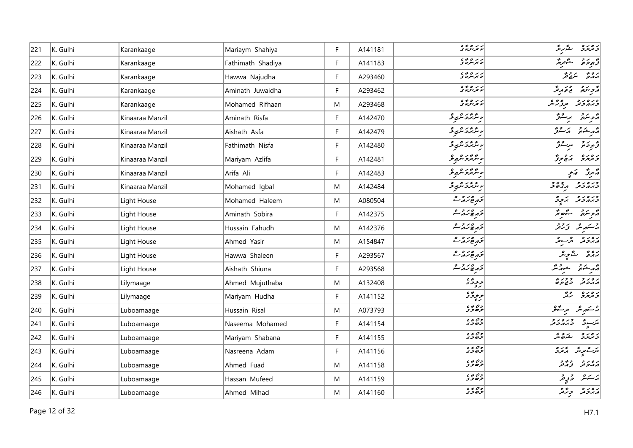| 221 | K. Gulhi | Karankaage      | Mariaym Shahiya   | $\mathsf F$ | A141181 | ر ر ه و د ،<br>ما مرس                           | شەر بۇ<br>ر ه بر ه<br><del>د</del> بربر و                 |
|-----|----------|-----------------|-------------------|-------------|---------|-------------------------------------------------|-----------------------------------------------------------|
| 222 | K. Gulhi | Karankaage      | Fathimath Shadiya | F.          | A141183 | ر ر ه و د ،<br>ما مرس                           | ستگورنگر<br>ا تو بر در<br>ا                               |
| 223 | K. Gulhi | Karankaage      | Hawwa Najudha     | F           | A293460 | ر ر ه و د ،<br>ما <del>ب</del> رمبر <i>دا</i> د | $rac{20}{200}$<br>ىر 3 قر                                 |
| 224 | K. Gulhi | Karankaage      | Aminath Juwaidha  | F           | A293462 | ر ر ه و د ،<br>ما بر سرد د                      | أأوسكم فيحارش                                             |
| 225 | K. Gulhi | Karankaage      | Mohamed Rifhaan   | M           | A293468 | ر ر ه و د ،<br>ما مرس د د                       | ورەرو بورمە                                               |
| 226 | K. Gulhi | Kinaaraa Manzil | Aminath Risfa     | F.          | A142470 | ى <sub>ر</sub> ئىز ئەڭرىمى ئى                   | ە ئە ئىرىنى ئىر ئىسى                                      |
| 227 | K. Gulhi | Kinaaraa Manzil | Aishath Asfa      | F           | A142479 | بېشتە ئىقبو                                     | وكرمشكم وكالمستوشح                                        |
| 228 | K. Gulhi | Kinaaraa Manzil | Fathimath Nisfa   | F           | A142480 | ى <sub>ر</sub> ئىرىگە ئىرى<br>ئى                | أوالمجافيرة والمستراثة                                    |
| 229 | K. Gulhi | Kinaaraa Manzil | Mariyam Azlifa    | F           | A142481 | ىر ئى <i>ر ئىر ئىر بى</i> ر ئىر                 | وحدو برورو                                                |
| 230 | K. Gulhi | Kinaaraa Manzil | Arifa Ali         | $\mathsf F$ | A142483 | ر ئىر <i>ئىر ئى</i> ر ئىر ئىر                   | أشعرتى الأميم                                             |
| 231 | K. Gulhi | Kinaaraa Manzil | Mohamed Igbal     | M           | A142484 | بېشە ئەھمىي ۋ                                   | כנסנכ הבשב<br><i>כג</i> ובט ובשב                          |
| 232 | K. Gulhi | Light House     | Mohamed Haleem    | M           | A080504 | ئەرەبەر م                                       |                                                           |
| 233 | K. Gulhi | Light House     | Aminath Sobira    | F           | A142375 | خرم قائرة مشر                                   | أردينهم يتور                                              |
| 234 | K. Gulhi | Light House     | Hussain Fahudh    | M           | A142376 | الخدع تروح                                      | يز ستهر شد و تر تر                                        |
| 235 | K. Gulhi | Light House     | Ahmed Yasir       | M           | A154847 | خرج ئەجمى                                       | גם ג'ב הציייבר                                            |
| 236 | K. Gulhi | Light House     | Hawwa Shaleen     | F           | A293567 | خەرەر ئەر                                       | برە ئەھمەر ئىگە ئەسىر                                     |
| 237 | K. Gulhi | Light House     | Aishath Shiuna    | F.          | A293568 | ا ئەرەپەر <i>ج</i>                              | أقرم شوق الشورقينس                                        |
| 238 | K. Gulhi | Lilymaage       | Ahmed Mujuthaba   | M           | A132408 | ووڈ ڈ<br>ری                                     | ים יכי יידי<br>היכני כניפים                               |
| 239 | K. Gulhi | Lilymaage       | Mariyam Hudha     | F.          | A141152 | ووودٌ ءَ<br>پڻ                                  | رەرە دېر                                                  |
| 240 | K. Gulhi | Luboamaage      | Hussain Risal     | M           | A073793 | و <i>0 ہ</i> ے<br>موضو ت                        | يزخير شهر سيرتقو                                          |
| 241 | K. Gulhi | Luboamaage      | Naseema Mohamed   | F           | A141154 | و <i>0 ه</i> ء<br>موھ <del>و</del> و            | و ر ه ر د<br>تر بر بر تر<br>ىئەسىدۇ                       |
| 242 | K. Gulhi | Luboamaage      | Mariyam Shabana   | F           | A141155 | وج ء ۽<br>موھ وي                                | رەرە يەشر                                                 |
| 243 | K. Gulhi | Luboamaage      | Nasreena Adam     | F           | A141156 | وج ء ۽<br>موھ وي                                | ىئرىشمىرىنى مەترى                                         |
| 244 | K. Gulhi | Luboamaage      | Ahmed Fuad        | M           | A141158 | و <i>0 ه</i> ي<br>مون و ي                       | بره رو و وو                                               |
| 245 | K. Gulhi | Luboamaage      | Hassan Mufeed     | M           | A141159 | وه و ،<br>مون و د                               | ر در مار در در محمد می باشد.<br>ایر سندس الله الله موالید |
| 246 | K. Gulhi | Luboamaage      | Ahmed Mihad       | M           | A141160 | وه و ،<br>مون و د                               | پره پر ورتو                                               |
|     |          |                 |                   |             |         |                                                 |                                                           |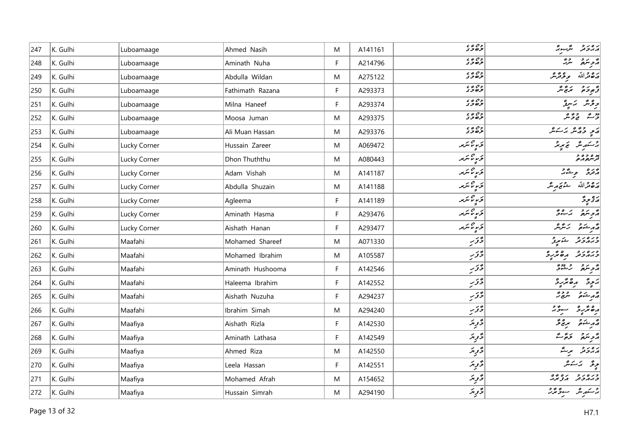| 247 | K. Gulhi     | Luboamaage   | Ahmed Nasih      | M           | A141161 | و <i>0 ه</i> ء<br>موھ <del>و</del> ي | أرەر بە شبەر                                                                          |
|-----|--------------|--------------|------------------|-------------|---------|--------------------------------------|---------------------------------------------------------------------------------------|
| 248 | K. Gulhi     | Luboamaage   | Aminath Nuha     | F.          | A214796 | و <i>0 ه</i> ء<br>موھ <del>و</del> ي | ىترتر<br>أثر حريثهمج                                                                  |
| 249 | K. Gulhi     | Luboamaage   | Abdulla Wildan   | M           | A275122 | و <i>0 ه</i> ء<br>موھ <del>و</del> ي | أرجع قرالله ووقرشر                                                                    |
| 250 | K. Gulhi     | Luboamaage   | Fathimath Razana | $\mathsf F$ | A293373 | و <i>0 ه</i> ی<br>مون و ی            | و بر د<br>از مرد م<br>ىر پەيتر                                                        |
| 251 | K. Gulhi     | Luboamaage   | Milna Haneef     | F           | A293374 | و <i>0 ه</i> ی<br>موړه و ک           | دوعثر برسور                                                                           |
| 252 | K. Gulhi     | Luboamaage   | Moosa Juman      | M           | A293375 | وج ء ۽<br>موھ وي                     | $\begin{array}{cc} & \circ & \circ & \circ \\ & \circ & \circ & \circ \\ \end{array}$ |
| 253 | K. Gulhi     | Luboamaage   | Ali Muan Hassan  | M           | A293376 | و <i>0 ه</i> ء<br>موھ <del>و</del> ي | و دوه در ده                                                                           |
| 254 | K. Gulhi     | Lucky Corner | Hussain Zareer   | M           | A069472 | الخەرجىتىد                           | چە سەر سىر ئەسىر بىر<br>ئاسىسىر                                                       |
| 255 | K. Gulhi     | Lucky Corner | Dhon Thuththu    | M           | A080443 | ائەرەتىد                             | بره وه و<br>ترسموړمو                                                                  |
| 256 | K. Gulhi     | Lucky Corner | Adam Vishah      | M           | A141187 | ئەرەئەتىد                            | أرتره ويشرح                                                                           |
| 257 | $ $ K. Gulhi | Lucky Corner | Abdulla Shuzain  | M           | A141188 | الخەر تىكىد                          | مَ صَعْرَاللَّهُ شَوْيَمْ مِرْسَر                                                     |
| 258 | K. Gulhi     | Lucky Corner | Agleema          | $\mathsf F$ | A141189 | الخەر تىكىد                          | ره د دره<br>مرگورگر                                                                   |
| 259 | K. Gulhi     | Lucky Corner | Aminath Hasma    | $\mathsf F$ | A293476 | الخەرشىد                             |                                                                                       |
| 260 | K. Gulhi     | Lucky Corner | Aishath Hanan    | $\mathsf F$ | A293477 | الخەرجىتىد                           | ۇرىشكى كەنگە                                                                          |
| 261 | K. Gulhi     | Maafahi      | Mohamed Shareef  | M           | A071330 | وتخرسه                               | ورەرو شەرو                                                                            |
| 262 | K. Gulhi     | Maafahi      | Mohamed Ibrahim  | M           | A105587 | ې ترکوب<br>مرک                       | כנים נים ליב                                                                          |
| 263 | K. Gulhi     | Maafahi      | Aminath Hushooma | F.          | A142546 | 3 تۇپ                                | أأروبتهم المشوقة                                                                      |
| 264 | K. Gulhi     | Maafahi      | Haleema Ibrahim  | F.          | A142552 | څونر                                 |                                                                                       |
| 265 | K. Gulhi     | Maafahi      | Aishath Nuzuha   | F.          | A294237 | 33 س                                 | $rac{2}{3}$<br>سرچ ش                                                                  |
| 266 | K. Gulhi     | Maafahi      | Ibrahim Simah    | M           | A294240 | را تو تو سر                          | $25 - 3100$                                                                           |
| 267 | K. Gulhi     | Maafiya      | Aishath Rizla    | $\mathsf F$ | A142530 | څوپر                                 |                                                                                       |
| 268 | K. Gulhi     | Maafiya      | Aminath Lathasa  | F           | A142549 | څوړ                                  | أأروبتهم وتأريح                                                                       |
| 269 | K. Gulhi     | Maafiya      | Ahmed Riza       | M           | A142550 | څوړنه                                | أرەر بەرگە                                                                            |
| 270 | K. Gulhi     | Maafiya      | Leela Hassan     | $\mathsf F$ | A142551 | څوړنه                                | يونۇ   ئەسكەنلە                                                                       |
| 271 | K. Gulhi     | Maafiya      | Mohamed Afrah    | M           | A154652 | څوړ                                  | כנסנכ נסשם<br>כממכת הציגה                                                             |
| 272 | K. Gulhi     | Maafiya      | Hussain Simrah   | M           | A294190 | ءً و <sub>م</sub> ر                  | جر شهر شهر استره کرد.<br>مرسکور میل                                                   |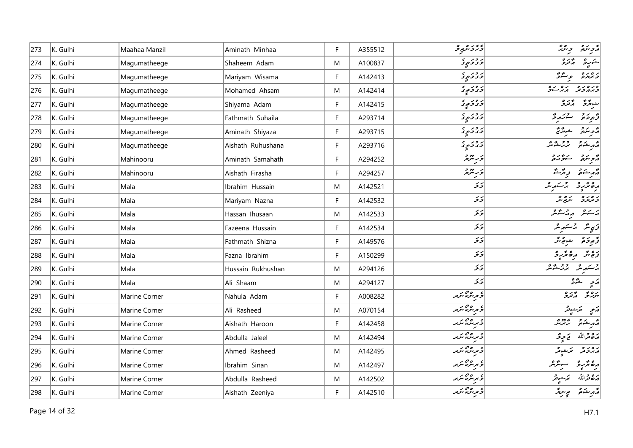| 273 | K. Gulhi | Maahaa Manzil | Aminath Minhaa    | F  | A355512 | ۇ <i>ئەۋىترىپ</i> بۇ                      | حر مثررته<br>أأدمتهم                                                |
|-----|----------|---------------|-------------------|----|---------|-------------------------------------------|---------------------------------------------------------------------|
| 274 | K. Gulhi | Magumatheege  | Shaheem Adam      | M  | A100837 | ر ور<br>5 د د م <sub>و</sub> د            | ڪمني جي<br>پر ہ<br>مرکز                                             |
| 275 | K. Gulhi | Magumatheege  | Mariyam Wisama    | F. | A142413 | ر ور<br>5 د د حو د                        | دەرە وگە                                                            |
| 276 | K. Gulhi | Magumatheege  | Mohamed Ahsam     | M  | A142414 | ر ور<br>5 د د مړي                         | ەرەبە<br>و رە ر د<br><i>د بر</i> پر تر                              |
| 277 | K. Gulhi | Magumatheege  | Shiyama Adam      | F  | A142415 | ر ور<br>5 د د م <sub>و</sub> د            | پور ہ<br>مرکز ژ<br>شووگر گر                                         |
| 278 | K. Gulhi | Magumatheege  | Fathmath Suhaila  | F  | A293714 | ر ور<br>5 د د حود                         | ۇپروتو سىزىرۇ                                                       |
| 279 | K. Gulhi | Magumatheege  | Aminath Shiyaza   | F  | A293715 | ر ور<br>5 د 5 ج <sub>و</sub> ر            | أأرد الملح المستورج                                                 |
| 280 | K. Gulhi | Magumatheege  | Aishath Ruhushana | F  | A293716 | ر در<br>5 د د هو د                        | و در در دولت میگر<br>میگر میکن میگر میگر                            |
| 281 | K. Gulhi | Mahinooru     | Aminath Samahath  | F  | A294252 | بر دو د<br>تر سرچر                        | ر بر د د<br>ستوگرده<br>أرمز                                         |
| 282 | K. Gulhi | Mahinooru     | Aishath Firasha   | F  | A294257 | بر رود د<br>تر سرچر                       | لأرشكم ولأمث                                                        |
| 283 | K. Gulhi | Mala          | Ibrahim Hussain   | M  | A142521 | ىزى                                       | رەترىر ئىسكىرىش                                                     |
| 284 | K. Gulhi | Mala          | Mariyam Nazna     | F  | A142532 | ىز                                        | رەرە بەھ                                                            |
| 285 | K. Gulhi | Mala          | Hassan Ihusaan    | M  | A142533 | رىز                                       | ير شهر مار مركبه شهر                                                |
| 286 | K. Gulhi | Mala          | Fazeena Hussain   | F  | A142534 | ۇت                                        | <mark>ز</mark> ىي ئىر بر سىمەر ئىر                                  |
| 287 | K. Gulhi | Mala          | Fathmath Shizna   | F  | A149576 | ۇت                                        | أراوح فالمستعملة                                                    |
| 288 | K. Gulhi | Mala          | Fazna Ibrahim     | F  | A150299 | ىزى                                       |                                                                     |
| 289 | K. Gulhi | Mala          | Hussain Rukhushan | M  | A294126 | رىز                                       | ر مسكور مىر ئىستىگىر<br>مەسكەرلىر                                   |
| 290 | K. Gulhi | Mala          | Ali Shaam         | M  | A294127 | رىز                                       | $\begin{vmatrix} 2 & 2 & 1 \\ 2 & 2 & 3 \\ 3 & 4 & 5 \end{vmatrix}$ |
| 291 | K. Gulhi | Marine Corner | Nahula Adam       | F  | A008282 | اء بەرەم ئىرىد<br>–                       | رەپە ئەرە                                                           |
| 292 | K. Gulhi | Marine Corner | Ali Rasheed       | M  | A070154 | اء به پیدائش کرد.<br>افریقرینگرنگریند     | ەكىم ئىم ئىشىمىتىگى<br>ئىستىمىسى                                    |
| 293 | K. Gulhi | Marine Corner | Aishath Haroon    | F  | A142458 | د سر مرکز مرکز کر                         |                                                                     |
| 294 | K. Gulhi | Marine Corner | Abdulla Jaleel    | M  | A142494 | اءِ په پېژندن <sub>گ</sub> ېر             | برە داللە     يې د يې                                               |
| 295 | K. Gulhi | Marine Corner | Ahmed Rasheed     | M  | A142495 | ې ده پېړۍ<br>خ <sup>م</sup> ر مربع متر پر | رەر ئەسىمىسى<br>مەركى گەنسى                                         |
| 296 | K. Gulhi | Marine Corner | Ibrahim Sinan     | M  | A142497 | ې په <i>۵۵ مر</i><br>د سرمرما مرمد        | سەئ <i>ىرى</i><br>سە<br>ەر ھەتتەر 2<br>ر                            |
| 297 | K. Gulhi | Marine Corner | Abdulla Rasheed   | M  | A142502 | ې په <i>۹۵ مرګ</i> ر                      | بر <b>ە ت</b> راللە<br>ىگە بىشەقىر<br>ئ                             |
| 298 | K. Gulhi | Marine Corner | Aishath Zeeniya   | F  | A142510 | اء به پیدائش کاربرد.<br>افزید میرسند      |                                                                     |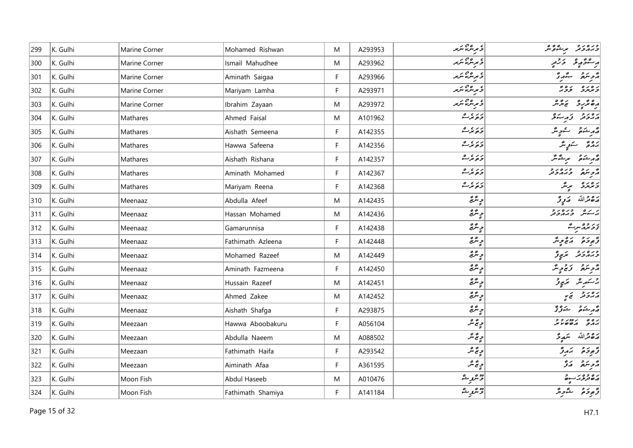| 299 | K. Gulhi | Marine Corner | Mohamed Rishwan     | M           | A293953 | ې په <i>۵۵ مربر</i>              | ورەرو برخوشر                                                                                                            |
|-----|----------|---------------|---------------------|-------------|---------|----------------------------------|-------------------------------------------------------------------------------------------------------------------------|
| 300 | K. Gulhi | Marine Corner | Ismail Mahudhee     | M           | A293962 | ى بەر بىرى <sub>ن</sub> ئىزىر    | ر عۇر ئەر ئە                                                                                                            |
| 301 | K. Gulhi | Marine Corner | Aminath Saigaa      | F.          | A293966 | د سرچين مترسه                    | ړ وسره سنه د                                                                                                            |
| 302 | K. Gulhi | Marine Corner | Mariyam Lamha       | F.          | A293971 | د بریره تمه                      | ويوبره<br>ر ه و.<br>مرد بر                                                                                              |
| 303 | K. Gulhi | Marine Corner | Ibrahim Zayaan      | M           | A293972 | د پرېژندنگر<br>  د پرېژندنگرنگر  | رە ئەر ئى ئاھا                                                                                                          |
| 304 | K. Gulhi | Mathares      | Ahmed Faisal        | M           | A101962 | ر ر ، مه ه<br><del>ر</del> هر سه | ورود ورباد                                                                                                              |
| 305 | K. Gulhi | Mathares      | Aishath Semeena     | F           | A142355 | ىر ر <sub>ى</sub> ھ              | قهر منده كمستجو متر                                                                                                     |
| 306 | K. Gulhi | Mathares      | Hawwa Safeena       | F           | A142356 | ىر ر <sub>ى</sub> ھ              | برە ئەسكىمى ئىگەن ئىگەن ئىگەن كەنتىكە كەنتىكە ئاستىكە ئاستىكە ئاستىكە ئاستىكە ئاستىكە ئاستىكە ئەستىكە ئەزەت كە<br>مەنبە |
| 307 | K. Gulhi | Mathares      | Aishath Rishana     | $\mathsf F$ | A142357 | ىر رىم يە<br>جەنبۇرىشە           | و د شود موستوسر                                                                                                         |
| 308 | K. Gulhi | Mathares      | Aminath Mohamed     | F.          | A142367 | ىر ر <sub>ى ھ</sub>              | 21012 2012                                                                                                              |
| 309 | K. Gulhi | Mathares      | Mariyam Reena       | F.          | A142368 | ىر ب <sub>ە</sub> مە             | دەرە بېر                                                                                                                |
| 310 | K. Gulhi | Meenaaz       | Abdulla Afeef       | M           | A142435 | حريثرمج                          | پرې قرالله کړې تو                                                                                                       |
| 311 | K. Gulhi | Meenaaz       | Hassan Mohamed      | M           | A142436 | حريثره                           | ير کشور ورورو                                                                                                           |
| 312 | K. Gulhi | Meenaaz       | Gamarunnisa         | F           | A142438 | حريثي                            | تەكە <i>ئەمەسرى</i> گە                                                                                                  |
| 313 | K. Gulhi | Meenaaz       | Fathimath Azleena   | F.          | A142448 | جرىترچ                           | توجوجو برە يېڭر                                                                                                         |
| 314 | K. Gulhi | Meenaaz       | Mohamed Razeef      | M           | A142449 | حريثرمج                          | دبره دبر پرېږگر                                                                                                         |
| 315 | K. Gulhi | Meenaaz       | Aminath Fazmeena    | F           | A142450 | حريثره                           | أزويتمو وتجويثر                                                                                                         |
| 316 | K. Gulhi | Meenaaz       | Hussain Razeef      | M           | A142451 | حريثره                           | 2سىمەشىر ئىرىپى ق                                                                                                       |
| 317 | K. Gulhi | Meenaaz       | Ahmed Zakee         | M           | A142452 | جريثي                            | أرور و سما                                                                                                              |
| 318 | K. Gulhi | Meenaaz       | Aishath Shafga      | F.          | A293875 | حريثره                           | أقرم شووتخ                                                                                                              |
| 319 | K. Gulhi | Meezaan       | Hawwa Aboobakuru    | F           | A056104 | جەنچىر                           |                                                                                                                         |
| 320 | K. Gulhi | Meezaan       | Abdulla Naeem       | M           | A088502 | حەيچ مىگە                        | مَەمْرَاللَّهُ سَمَّدٍ وَ                                                                                               |
| 321 | K. Gulhi | Meezaan       | Fathimath Haifa     | F           | A293542 | <br>دېڅ مګر                      | وموجود بمدوق                                                                                                            |
| 322 | K. Gulhi | Meezaan       | Aiminath Afaa       | $\mathsf F$ | A361595 | <br>دېڅ مګر                      | أزوينه أمائى                                                                                                            |
| 323 | K. Gulhi | Moon Fish     | <b>Abdul Haseeb</b> | M           | A010476 | لتشعر يحم                        | ره وه ر<br>پره ترور سره                                                                                                 |
| 324 | K. Gulhi | Moon Fish     | Fathimath Shamiya   | F.          | A141184 | لتشعريه                          | أَوْجِرْهُمْ شُرْحِرْدٌ                                                                                                 |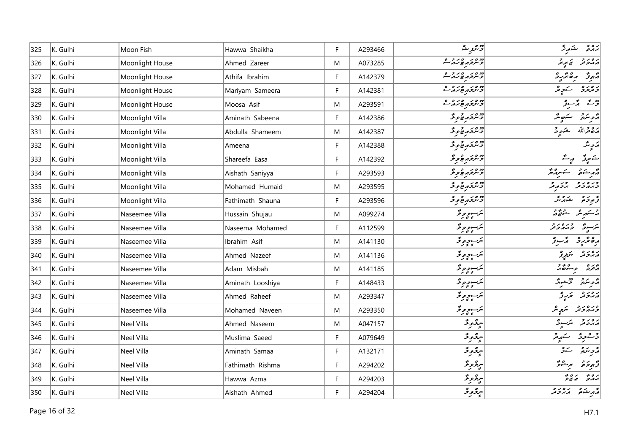| 325 | K. Gulhi | Moon Fish       | Hawwa Shaikha    | F  | A293466 | رژ عربه ه                                       | برەپچ<br>ڪورڙ                                            |
|-----|----------|-----------------|------------------|----|---------|-------------------------------------------------|----------------------------------------------------------|
| 326 | K. Gulhi | Moonlight House | Ahmed Zareer     | M  | A073285 | وه و د و د و و                                  | بر 2 د ج<br>م <i>ر</i> بر <del>د</del> تر<br>ىج ئىچە تىر |
| 327 | K. Gulhi | Moonlight House | Athifa Ibrahim   | F  | A142379 | ده ور مرد م                                     | رحمبوقر<br>ەر ھەترىر <i>3</i>                            |
| 328 | K. Gulhi | Moonlight House | Mariyam Sameera  | F  | A142381 | دوه در ۱۳۵۵ و.<br>د مرغ بر د ک                  | ر ه ر ه<br><del>ر</del> بربرو<br>سكرحر                   |
| 329 | K. Gulhi | Moonlight House | Moosa Asif       | M  | A293591 | دوه بر ۱۳۵۵ میلی<br>مرکز <sub>مر</sub> فتر میلی | دیں مش<br>ېژ سوژ                                         |
| 330 | K. Gulhi | Moonlight Villa | Aminath Sabeena  | F. | A142386 | در مركز <sub>مرك</sub> فورگر                    | سەھ بىر<br>أرمز بنرو                                     |
| 331 | K. Gulhi | Moonlight Villa | Abdulla Shameem  | M  | A142387 | ومشرقه وغوقه                                    | وكافرالله<br>ستكور                                       |
| 332 | K. Gulhi | Moonlight Villa | Ameena           | F  | A142388 | دە ەبەر ق <sub>ەھ</sub> مۇ                      | ىز جە ئىگە<br>كەنبە                                      |
| 333 | K. Gulhi | Moonlight Villa | Shareefa Easa    | F  | A142392 | در مرکز مرکز مرکز<br>حسن کرد مرکز               | شەمبەرى<br>سەمبەرى<br>وت<br>م                            |
| 334 | K. Gulhi | Moonlight Villa | Aishath Saniyya  | F  | A293593 | در مر <sub>کو</sub> ر قح مرگز                   | ومرشوق كالمرمر                                           |
| 335 | K. Gulhi | Moonlight Villa | Mohamed Humaid   | M  | A293595 | دوه بر مرضع مرځه<br>حسن مرغ مرغ                 | و ر ه ر د<br>تر بر بر تر<br>برىز مەتر                    |
| 336 | K. Gulhi | Moonlight Villa | Fathimath Shauna | F  | A293596 | دە ەبەر قىم ئىگە<br>مەسىر ئىمىس                 | شەرقىر<br>وٌجوحهُ                                        |
| 337 | K. Gulhi | Naseemee Villa  | Hussain Shujau   | M  | A099274 | ىئەسىپ <sub>ى</sub> رىدۇ.<br>مەسىر              | جر سەر شەھ ھەم بە                                        |
| 338 | K. Gulhi | Naseemee Villa  | Naseema Mohamed  | F  | A112599 | ىئەسىرە بۇ<br>ئىستىقىنىشىشى                     | ىئەسەۋ<br>و ره ر و<br>تر پروتر                           |
| 339 | K. Gulhi | Naseemee Villa  | Ibrahim Asif     | M  | A141130 | ىئەسىرە دېگە<br>ئىستىقىلىقى                     | وە ئەر ئەسر                                              |
| 340 | K. Gulhi | Naseemee Villa  | Ahmed Nazeef     | M  | A141136 | ىئەسىپ <sub>ى</sub> رىدۇ.                       | برەر ئەترىرى                                             |
| 341 | K. Gulhi | Naseemee Villa  | Adam Misbah      | M  | A141185 | ىئەسىۋە <i>بە</i> مە                            | وره وبده.                                                |
| 342 | K. Gulhi | Naseemee Villa  | Aminath Looshiya | F  | A148433 | ىئز سوچە بۇ ئە                                  | ود<br>موسسه دگر<br>ړې سره                                |
| 343 | K. Gulhi | Naseemee Villa  | Ahmed Raheef     | M  | A293347 | ىئرسوچە بۇ<br>ئىستىقى بەر                       | ىر 2 > ><br>مەركى قىر<br>ىرىرو                           |
| 344 | K. Gulhi | Naseemee Villa  | Mohamed Naveen   | M  | A293350 | ىئەسىرە دېگە<br>ئىستىقىنىڭ                      | و ره ر د<br><i>د بر</i> د تر                             |
| 345 | K. Gulhi | Neel Villa      | Ahmed Naseem     | M  | A047157 | ىيرىۋىرگە<br>ئە                                 | رەر ئەسر                                                 |
| 346 | K. Gulhi | Neel Villa      | Muslima Saeed    | F  | A079649 | سرچە ئۇ                                         | ۇ سە <sub>م</sub> وۇ<br>ستهر تر                          |
| 347 | K. Gulhi | Neel Villa      | Aminath Samaa    | F  | A132171 | ىبرىۋە ئ <sup>ۇ</sup>                           | 5/2/2<br>ستەنتى                                          |
| 348 | K. Gulhi | Neel Villa      | Fathimath Rishma | F  | A294202 | سرچە ئۇ                                         | و و ده مرشو                                              |
| 349 | K. Gulhi | Neel Villa      | Hawwa Azma       | F. | A294203 | سروگروگر                                        | $rac{20}{200}$<br>ەسىم                                   |
| 350 | K. Gulhi | Neel Villa      | Aishath Ahmed    | F  | A294204 | سردگر د                                         | وكرمشكا وكالمرد                                          |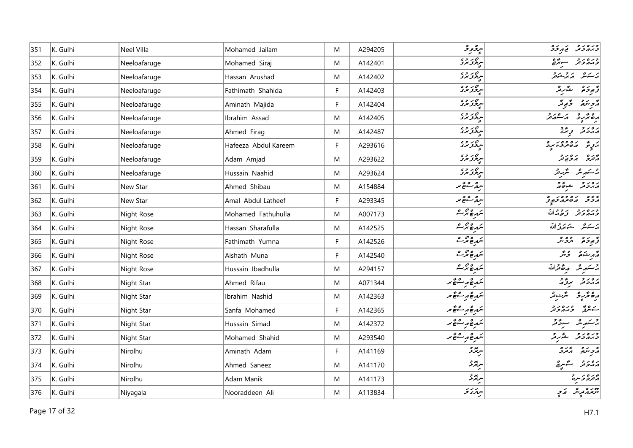| 351 | K. Gulhi | Neel Villa   | Mohamed Jailam       | M  | A294205 | سرچە ئ <sup>ۇ</sup>                                       | בגמגב בתוכל                  |
|-----|----------|--------------|----------------------|----|---------|-----------------------------------------------------------|------------------------------|
| 352 | K. Gulhi | Neeloafaruge | Mohamed Siraj        | M  | A142401 | ره د د د و د<br>سرپرو سرد                                 | ورەرو سەرى                   |
| 353 | K. Gulhi | Neeloafaruge | Hassan Arushad       | M  | A142402 | سرچونو پر د                                               | ىز سەش كە ئەشكەتل            |
| 354 | K. Gulhi | Neeloafaruge | Fathimath Shahida    | F. | A142403 | پېرغونو ترونې<br>  پېرغونو تېرنو                          | وٌ و دَمْ شَرْرَتَر          |
| 355 | K. Gulhi | Neeloafaruge | Aminath Majida       | F. | A142404 | ەر دې<br>سرچونو بىرى                                      | مٌ وِ سَرَمٌ _ وَّ مِ مَّرْ  |
| 356 | K. Gulhi | Neeloafaruge | Ibrahim Assad        | M  | A142405 | ەر دې<br>سرچونو بىرى                                      | תפתק החודב                   |
| 357 | K. Gulhi | Neeloafaruge | Ahmed Firag          | M  | A142487 | مریز د د ،<br>پرېژو ندې                                   | رورد وبرد                    |
| 358 | K. Gulhi | Neeloafaruge | Hafeeza Abdul Kareem | F  | A293616 | سرچور و ،<br>پیرچور پرې                                   | ر ده ده ده ده در د           |
| 359 | K. Gulhi | Neeloafaruge | Adam Amjad           | M  | A293622 | ەر دې<br>سرچونو بىرى                                      | وره ده دو.<br>محمد مروم مر   |
| 360 | K. Gulhi | Neeloafaruge | Hussain Naahid       | M  | A293624 | ەر دې<br>سرچونو بىرى                                      | برستهر شرير متزبر            |
| 361 | K. Gulhi | New Star     | Ahmed Shibau         | M  | A154884 | لىرە شەھۇسر                                               | دەرو خوڭە                    |
| 362 | K. Gulhi | New Star     | Amal Abdul Latheef   | F  | A293345 | ابره قصيحه                                                | ووه رەدەر و                  |
| 363 | K. Gulhi | Night Rose   | Mohamed Fathuhulla   | M  | A007173 | $\boxed{\mathcal{L} \mathcal{L} \mathcal{L} \mathcal{L}}$ | وره رو بروچ الله             |
| 364 | K. Gulhi | Night Rose   | Hassan Sharafulla    | M  | A142525 | بئروغير                                                   | ترسك مشاترة الله             |
| 365 | K. Gulhi | Night Rose   | Fathimath Yumna      | F  | A142526 | سَرە جوڭ ھ                                                | أوالمحتجم الروائر            |
| 366 | K. Gulhi | Night Rose   | Aishath Muna         | F. | A142540 | سَرَمٍ عَرْبٌ                                             | أمام المحمد المحتمد          |
| 367 | K. Gulhi | Night Rose   | Hussain Ibadhulla    | M  | A294157 | الترم عيث                                                 | جرسمريثر ويقترالله           |
| 368 | K. Gulhi | Night Star   | Ahmed Rifau          | M  | A071344 | يئد عامر ت-عُام                                           | برەر دىگە                    |
| 369 | K. Gulhi | Night Star   | Ibrahim Nashid       | M  | A142363 |                                                           | ەھ <i>ترى</i> رو شىشوتر<br>م |
| 370 | K. Gulhi | Night Star   | Sanfa Mohamed        | F. | A142365 | سَمه عْ مِر مْ مْ عَدْ مْر                                | سەھەر 2019-يو                |
| 371 | K. Gulhi | Night Star   | Hussain Simad        | M  | A142372 | سَمهِ هُورٍ مُسْتَقِيمَ                                   | جرسكور مسوقاته               |
| 372 | K. Gulhi | Night Star   | Mohamed Shahid       | M  | A293540 | سَمَدِ هِمْ بِرِ مَقَعَ مَد                               | ورەرو ئەرتى                  |
| 373 | K. Gulhi | Nirolhu      | Aminath Adam         | F  | A141169 | سرچري                                                     | ړ ده په پره د                |
| 374 | K. Gulhi | Nirolhu      | Ahmed Saneez         | M  | A141170 | سرپرېژ                                                    | رەرو شىرچ                    |
| 375 | K. Gulhi | Nirolhu      | Adam Manik           | M  | A141173 | سرپرېژ                                                    | پر ده ر<br>مرکز د کرر        |
| 376 | K. Gulhi | Niyagala     | Nooraddeen Ali       | M  | A113834 | سرپر بخه                                                  | دوره در کرد                  |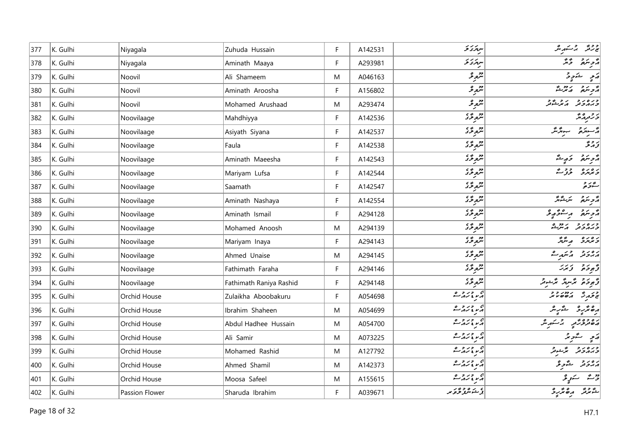| 377 | K. Gulhi | Niyagala       | Zuhuda Hussain          | $\mathsf F$ | A142531 | سرترىخە                                      | ح پر تئ <sub>ر جر</sub> سکتر میٹر<br> -<br>                |
|-----|----------|----------------|-------------------------|-------------|---------|----------------------------------------------|------------------------------------------------------------|
| 378 | K. Gulhi | Niyagala       | Aminath Maaya           | F           | A293981 | سردر                                         | رحيمر                                                      |
| 379 | K. Gulhi | Noovil         | Ali Shameem             | M           | A046163 | يتروعه                                       | ړې شود د                                                   |
| 380 | K. Gulhi | Noovil         | Aminath Aroosha         | F           | A156802 | يتر <sub>عر</sub> قر                         |                                                            |
| 381 | K. Gulhi | Noovil         | Mohamed Arushaad        | M           | A293474 | يتروعه                                       | ورەرو روشوو<br><mark>ورەر</mark> ونس <mark>م</mark> ىرشگەر |
| 382 | K. Gulhi | Noovilaage     | Mahdhiyya               | F           | A142536 | دد<br>متر <sub>جو</sub> بحری                 | ر و ره و.<br>د ر <sub>مر</sub> بر                          |
| 383 | K. Gulhi | Noovilaage     | Asiyath Siyana          | F           | A142537 | دو پرې<br>سرعر پرې                           | پ <sup>و</sup> سەدە.<br>ر<br>سەدىر ئىگر                    |
| 384 | K. Gulhi | Noovilaage     | Faula                   | F           | A142538 | دد<br>متر <sub>کو</sub> بخری                 | $\frac{2}{3}$ $\frac{7}{3}$                                |
| 385 | K. Gulhi | Noovilaage     | Aminath Maeesha         | F           | A142543 | دد<br>سره مرگ                                | أأدبتهم وأريثه                                             |
| 386 | K. Gulhi | Noovilaage     | Mariyam Lufsa           | F           | A142544 | دد<br>متر <sub>جو</sub> بخری                 | ر ه ر ه<br><del>و</del> بوبرو<br>ترتو شە                   |
| 387 | K. Gulhi | Noovilaage     | Saamath                 | F           | A142547 | دد<br>متر <sub>عر</sub> بر د                 | ستردمى                                                     |
| 388 | K. Gulhi | Noovilaage     | Aminath Nashaya         | F           | A142554 | دد<br>متر <sub>جو م</sub> حر <sub>ى</sub>    | سَرَحْشَرْتَر<br>أروسكو                                    |
| 389 | K. Gulhi | Noovilaage     | Aminath Ismail          | $\mathsf F$ | A294128 | دو پر ،<br>سر <sub>ج م</sub> حر <sub>ک</sub> | أأترسك                                                     |
| 390 | K. Gulhi | Noovilaage     | Mohamed Anoosh          | M           | A294139 | دد<br>متر <sub>کو</sub> بخری                 | و ر ه ر د<br>تر پر ژ تر<br>برجعيثه                         |
| 391 | K. Gulhi | Noovilaage     | Mariyam Inaya           | $\mathsf F$ | A294143 | دد<br>متر <sub>جو</sub> بحری                 | و ورو پر شر                                                |
| 392 | K. Gulhi | Noovilaage     | Ahmed Unaise            | M           | A294145 | دد<br>متر <sub>جو</sub> بحری                 | أرەرو وتىرگ                                                |
| 393 | K. Gulhi | Noovilaage     | Fathimath Faraha        | F           | A294146 | دد په په<br>سر <sub>گرم</sub> ونو            | قهودة وترز                                                 |
| 394 | K. Gulhi | Noovilaage     | Fathimath Raniya Rashid | F           | A294148 | رد په په<br>سرعر د                           | ؤودة لأسرأ لأحوار                                          |
| 395 | K. Gulhi | Orchid House   | Zulaikha Aboobakuru     | F           | A054698 | ە يەندىي<br>م                                | 77777<br>پر تر پر ش                                        |
| 396 | K. Gulhi | Orchid House   | Ibrahim Shaheen         | M           | A054699 | ه درون<br>در در در                           | ە ھەترىر <sup>ى</sup><br>رەھىرىرى<br>ڪ پڻ پيشر<br>ح        |
| 397 | K. Gulhi | Orchid House   | Abdul Hadhee Hussain    | M           | A054700 | چ په چر <u>یز م</u>                          |                                                            |
| 398 | K. Gulhi | Orchid House   | Ali Samir               | M           | A073225 | ە بەيز دەپ                                   | أرمو ستمحر بمر                                             |
| 399 | K. Gulhi | Orchid House   | Mohamed Rashid          | M           | A127792 | م ديرو م                                     | ورەرو گرىدوگ                                               |
| 400 | K. Gulhi | Orchid House   | Ahmed Shamil            | M           | A142373 | ە بەيز دەپ                                   | رەرو ھۇرى                                                  |
| 401 | K. Gulhi | Orchid House   | Moosa Safeel            | M           | A155615 | ېم ديرو ه<br>مر                              | ژئے گے دیگھ                                                |
| 402 | K. Gulhi | Passion Flower | Sharuda Ibrahim         | F           | A039671 | ،<br>بۇ خەملىر قرۇىر                         | يدونه مره نوره                                             |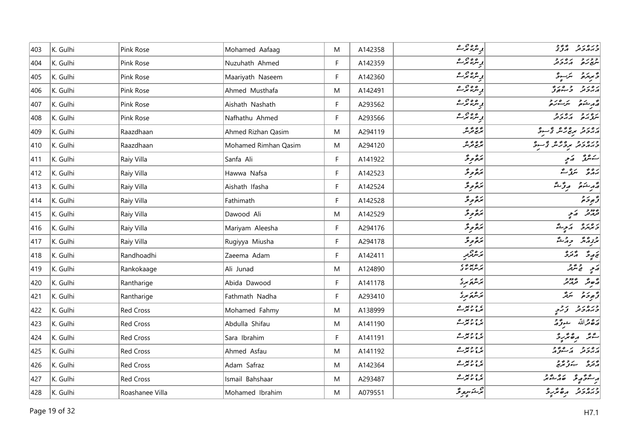| 403 | K. Gulhi | Pink Rose        | Mohamed Aafaag       | M         | A142358 | بويده ترعه                        | وره رو په و                                                                                                                                                                                                                    |
|-----|----------|------------------|----------------------|-----------|---------|-----------------------------------|--------------------------------------------------------------------------------------------------------------------------------------------------------------------------------------------------------------------------------|
| 404 | K. Gulhi | Pink Rose        | Nuzuhath Ahmed       | F         | A142359 | إرمرىزمىر                         | כני כן המקב<br>ת <u>א</u> יקים ההכנ                                                                                                                                                                                            |
| 405 | K. Gulhi | Pink Rose        | Maariyath Naseem     | F         | A142360 | وموروعة                           | كمحبر مراد والمحمد والمحمدة والمحمدة والمحمد والمحمد والمحمدة والمحمدة والمحمدة والمحمدة والمحمدة والمحمدة والمحمدة والمحمدة والمحمدة والمحمدة والمحمدة والمحمدة والمحمدة والمحمدة والمحمدة والمحمدة والمحمدة والمحمدة والمحمد |
| 406 | K. Gulhi | Pink Rose        | Ahmed Musthafa       | M         | A142491 | ارپرېږم                           | رەرد دەرد                                                                                                                                                                                                                      |
| 407 | K. Gulhi | Pink Rose        | Aishath Nashath      | F         | A293562 | ابوشده جيت                        | و دشتمو متر مدد د<br>مدر شتمو متر مدر                                                                                                                                                                                          |
| 408 | K. Gulhi | Pink Rose        | Nafhathu Ahmed       | F         | A293566 | و م <sup>وړ م</sup> ور م          | بره بر د بر د د<br>سرز بر جمانه د بر د تر                                                                                                                                                                                      |
| 409 | K. Gulhi | Raazdhaan        | Ahmed Rizhan Qasim   | M         | A294119 | پر ہ پر مر<br>بر بح <b>ت</b> ر مر | رور د مرور مراکب تخسیر د                                                                                                                                                                                                       |
| 410 | K. Gulhi | Raazdhaan        | Mohamed Rimhan Qasim | ${\sf M}$ | A294120 | ره <i>ه ه</i><br>مربع ترس         | ورەرو بروژنگر تخسود                                                                                                                                                                                                            |
| 411 | K. Gulhi | Raiy Villa       | Sanfa Ali            | F         | A141922 | برە وېڅر                          | سەئىدى ئەم                                                                                                                                                                                                                     |
| 412 | K. Gulhi | Raiy Villa       | Hawwa Nafsa          | F         | A142523 | برە وېڅه                          | برە ئەستى ئىستى                                                                                                                                                                                                                |
| 413 | K. Gulhi | Raiy Villa       | Aishath Ifasha       | F         | A142524 | برە وڭر                           | كمرخوش مركبة                                                                                                                                                                                                                   |
| 414 | K. Gulhi | Raiy Villa       | Fathimath            | F         | A142528 | برە وېڅ                           | و<br>ترجو حرم                                                                                                                                                                                                                  |
| 415 | K. Gulhi | Raiy Villa       | Dawood Ali           | M         | A142529 | برە وڭر                           | ودود کرم                                                                                                                                                                                                                       |
| 416 | K. Gulhi | Raiy Villa       | Mariyam Aleesha      | F         | A294176 | ترەپ ئۇ                           | ومروح كموية                                                                                                                                                                                                                    |
| 417 | K. Gulhi | Raiy Villa       | Rugiyya Miusha       | F         | A294178 | برە وېڅر                          | بر <sub>ق</sub> م مهم مرسم در در در میگر<br>مرب                                                                                                                                                                                |
| 418 | K. Gulhi | Randhoadhi       | Zaeema Adam          | F         | A142411 | برەم                              |                                                                                                                                                                                                                                |
| 419 | K. Gulhi | Rankokaage       | Ali Junad            | M         | A124890 | ر ۵ پر ۵ پر<br>برس را ر           | أەسمجد سمائع متركبر                                                                                                                                                                                                            |
| 420 | K. Gulhi | Rantharige       | Abida Dawood         | F         | A141178 | ىر ھەرىرى<br>ئىرىنزى <i>م</i> ىرى | ه ده دود و<br>مان ترمانر                                                                                                                                                                                                       |
| 421 | K. Gulhi | Rantharige       | Fathmath Nadha       | F         | A293410 | بجە يىگە ئىرى                     | وٌجِ وَ حَمَدٌ مَسَرَ مَرَ                                                                                                                                                                                                     |
| 422 | K. Gulhi | Red Cross        | Mohamed Fahmy        | M         | A138999 | ، د د بر ه<br>بر ، بر بر          | وره رو دو                                                                                                                                                                                                                      |
| 423 | K. Gulhi | <b>Red Cross</b> | Abdulla Shifau       | M         | A141190 | ، د د بر ه<br>بر ډير بر په        | چەقراللە ھەر <i>گە</i>                                                                                                                                                                                                         |
| 424 | K. Gulhi | <b>Red Cross</b> | Sara Ibrahim         | F         | A141191 | ، د د بر ه<br>بر ډير بر په        |                                                                                                                                                                                                                                |
| 425 | K. Gulhi | <b>Red Cross</b> | Ahmed Asfau          | M         | A141192 | ، د د بر ه<br>بر ډير بر           | גם גם הם ביב<br>הגבת ה-תו                                                                                                                                                                                                      |
| 426 | K. Gulhi | <b>Red Cross</b> | Adam Safraz          | M         | A142364 | ، د د بر ه<br>بر ډير بر په        | وره بروود<br>دندن بروندی                                                                                                                                                                                                       |
| 427 | K. Gulhi | <b>Red Cross</b> | Ismail Bahshaar      | M         | A293487 | ، د د بر ه<br>بر ډير بر           | ر موځمړ و هم شور                                                                                                                                                                                                               |
| 428 | K. Gulhi | Roashanee Villa  | Mohamed Ibrahim      | M         | A079551 | جرىئە <sub>مىرى</sub> مۇ ئە       | כמחכת השתנכ                                                                                                                                                                                                                    |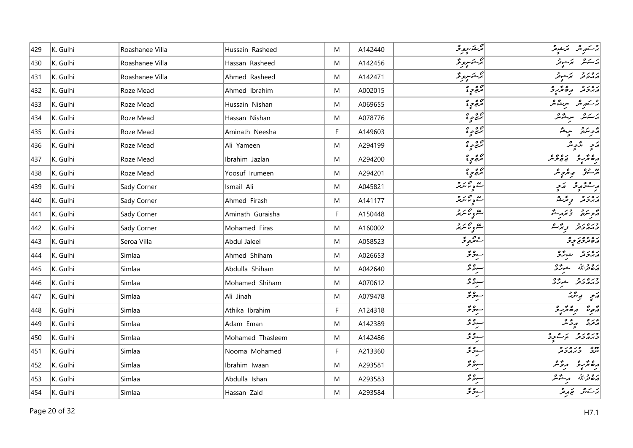| 429 | K. Gulhi | Roashanee Villa | Hussain Rasheed  | M | A142440 | ىرىشە بىرە ئ <sup>ۇ</sup><br>مەسىم |                                                                       |
|-----|----------|-----------------|------------------|---|---------|------------------------------------|-----------------------------------------------------------------------|
| 430 | K. Gulhi | Roashanee Villa | Hassan Rasheed   | M | A142456 | ترىئە يېرىدۇ                       | چرىكىرىش ئېرىشون<br>ئەسكىرىش ئېرىشونى<br>ئەسكىش ئېرىش <sub>و</sub> نى |
| 431 | K. Gulhi | Roashanee Villa | Ahmed Rasheed    | M | A142471 | ترىئەسرە قر                        | رەر تەرىپىدىگە<br>مەركى تەش <sub>ە</sub> ر                            |
| 432 | K. Gulhi | Roze Mead       | Ahmed Ibrahim    | M | A002015 | ەر ھ<br>ئىرىج ج                    | גפני גפיציב                                                           |
| 433 | K. Gulhi | Roze Mead       | Hussain Nishan   | M | A069655 | ە ە ھ<br>مرىخ ج <sub>و</sub> لا    | چاكىرىكى ئىرتىگىلى<br>ئەسكىرىكى ئىرتىگەن<br>ئەسكىلى ئىرتىگەنلى        |
| 434 | K. Gulhi | Roze Mead       | Hassan Nishan    | M | A078776 | ە ە ھ<br>ئىرىم جە يا               |                                                                       |
| 435 | K. Gulhi | Roze Mead       | Aminath Neesha   | F | A149603 | ە ھ<br>موج حوي                     |                                                                       |
| 436 | K. Gulhi | Roze Mead       | Ali Yameen       | M | A294199 | ە ھەم ھەم<br>مەنبى ھەم             | ړنو گرونگر                                                            |
| 437 | K. Gulhi | Roze Mead       | Ibrahim Jazlan   | M | A294200 | ە ھ<br>موج حوي                     | دە ئېرىۋ<br>تے بچ تر نثر                                              |
| 438 | K. Gulhi | Roze Mead       | Yoosuf Irumeen   | M | A294201 | ە ە<br>مرىخ ج                      | دو ده<br>مرسو<br>وېڅرچې شر                                            |
| 439 | K. Gulhi | Sady Corner     | Ismail Ali       | M | A045821 | ع و من مر بر<br>مسلم موسر          | برڪڙم وُ مَر                                                          |
| 440 | K. Gulhi | Sady Corner     | Ahmed Firash     | M | A141177 | سى <sub>ۋى</sub> ر ئەيرىر          | رەرد رېگى                                                             |
| 441 | K. Gulhi | Sady Corner     | Aminath Guraisha | F | A150448 | <u>عوبه</u> مؤيتر                  | و سرد و مرد                                                           |
| 442 | K. Gulhi | Sady Corner     | Mohamed Firas    | M | A160002 | سكوپە تەرىر<br>سىلمې ئىلگەنگەنلەر  | ورەرو پەر                                                             |
| 443 | K. Gulhi | Seroa Villa     | Abdul Jaleel     | M | A058523 | ينوعوقر                            | رە دەر دە                                                             |
| 444 | K. Gulhi | Simlaa          | Ahmed Shiham     | M | A026653 | سردعه                              | رەرە ھەرمى<br>مەدىر ھەر                                               |
| 445 | K. Gulhi | Simlaa          | Abdulla Shiham   | M | A042640 | اسەۋىۋ                             | مَدَّهْ مَدْ أَرْسَعْ مِنْ مَرْ حَرْ                                  |
| 446 | K. Gulhi | Simlaa          | Mohamed Shiham   | M | A070612 | سردعه                              | ورەر د شورگ <sup>9</sup>                                              |
| 447 | K. Gulhi | Simlaa          | Ali Jinah        | M | A079478 | سردعه                              | ړې وېژن                                                               |
| 448 | K. Gulhi | Simlaa          | Athika Ibrahim   | F | A124318 | اسوقو<br>استوق                     | وتمونني<br>ە ھەتئەر 2<br>برەنئەر 2                                    |
| 449 | K. Gulhi | Simlaa          | Adam Eman        | M | A142389 | سەۋىۋ                              | ر<br>پر تر ژ<br>ويزيتر                                                |
| 450 | K. Gulhi | Simlaa          | Mohamed Thasleem | M | A142486 | ىبوقە                              | ورەرو رەرو                                                            |
| 451 | K. Gulhi | Simlaa          | Nooma Mohamed    | F | A213360 | ببوقر                              | ממי כנסנים<br>יינדי כגורכנג                                           |
| 452 | K. Gulhi | Simlaa          | Ibrahim Iwaan    | M | A293581 | سردىژ                              | روتيو<br>دە ئەرد                                                      |
| 453 | K. Gulhi | Simlaa          | Abdulla Ishan    | M | A293583 | سوقر محر                           | <mark>حەق</mark> ىراللە<br>درشقيقر                                    |
| 454 | K. Gulhi | Simlaa          | Hassan Zaid      | M | A293584 | سوۋىۋ                              | يركسكر المجاورة                                                       |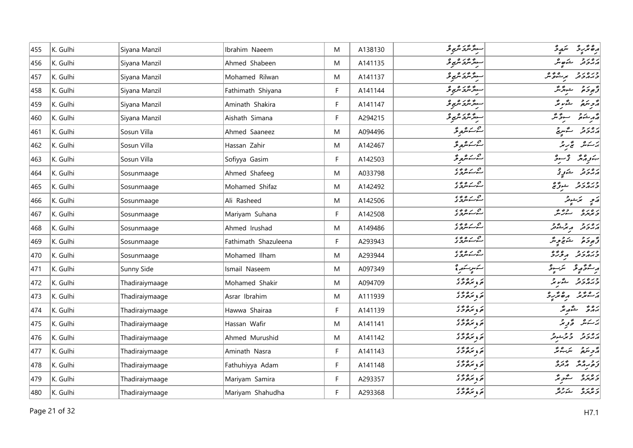| 455 | K. Gulhi | Siyana Manzil  | Ibrahim Naeem        | M  | A138130 | سەر ئىرىگە ئىرىمى ئى              | رە ئ <sup>ۆ</sup> رۈ<br>سَمِيرة             |
|-----|----------|----------------|----------------------|----|---------|-----------------------------------|---------------------------------------------|
| 456 | K. Gulhi | Siyana Manzil  | Ahmed Shabeen        | M  | A141135 | سەر ئەترىرى ئىچە ب <mark>ۇ</mark> | پروژبر<br>شەھ بىر                           |
| 457 | K. Gulhi | Siyana Manzil  | Mohamed Rilwan       | M  | A141137 | سە <i>رەڭ ئەربى</i> ر ئى          | و ره ر د<br><i>د بر</i> پر تر<br>ىر شەھ بىر |
| 458 | K. Gulhi | Siyana Manzil  | Fathimath Shiyana    | F  | A141144 |                                   | وٌمورَمٌ<br>ے وگر مگر                       |
| 459 | K. Gulhi | Siyana Manzil  | Aminath Shakira      | F  | A141147 |                                   | ىشقە ئەتتىر<br>أأترشي                       |
| 460 | K. Gulhi | Siyana Manzil  | Aishath Simana       | F  | A294215 | سەز ئىز ئىز ئىز ئىچە ئى           | ۇ مەشىرە<br>مەر شىم<br>سەۋىئر               |
| 461 | K. Gulhi | Sosun Villa    | Ahmed Saaneez        | M  | A094496 | مەسە يى <sub>رى</sub> موقە        | رەر ئەرچ                                    |
| 462 | K. Gulhi | Sosun Villa    | Hassan Zahir         | M  | A142467 | <u>ش ئەسرو ئە</u>                 | يرك يتجرير                                  |
| 463 | K. Gulhi | Sosun Villa    | Sofiyya Gasim        | F  | A142503 | ج ئەنگەرى <i>گە</i>               | سەرەھ قەسىۋ                                 |
| 464 | K. Gulhi | Sosunmaage     | Ahmed Shafeeq        | M  | A033798 | <u>م بەرە پە</u>                  | ره رو در در د                               |
| 465 | K. Gulhi | Sosunmaage     | Mohamed Shifaz       | M  | A142492 | <u>م بە ھەم</u>                   | ورەرو ئىدۇي                                 |
| 466 | K. Gulhi | Sosunmaage     | Ali Rasheed          | M  | A142506 | <u>م ئەشرىرى</u>                  | أوكمني المخرجون                             |
| 467 | K. Gulhi | Sosunmaage     | Mariyam Suhana       | F  | A142508 | <u>م بە پەرە</u>                  | رەرە ئەر                                    |
| 468 | K. Gulhi | Sosunmaage     | Ahmed Irushad        | M  | A149486 | <u>م بە ھەم</u>                   | גם גב הבלייב                                |
| 469 | K. Gulhi | Sosunmaage     | Fathimath Shazuleena | F  | A293943 | <u>م ئەيۋې ئ</u>                  | ژَهِ دَهُ صَنَّے دِینَر                     |
| 470 | K. Gulhi | Sosunmaage     | Mohamed Ilham        | M  | A293944 | <u>م بە پەرە</u>                  | ورەرو روپرو                                 |
| 471 | K. Gulhi | Sunny Side     | Ismail Naseem        | M  | A097349 |                                   | ر جۇرچە سەرج                                |
| 472 | K. Gulhi | Thadiraiymaage | Mohamed Shakir       | M  | A094709 | ر پره وي<br>موسم پر               | ورەرو شەرو                                  |
| 473 | K. Gulhi | Thadiraiymaage | Asrar Ibrahim        | M  | A111939 | ر بەرەپ<br>مۇبە ئىگەرى            | ړ ه پر د هغربه                              |
| 474 | K. Gulhi | Thadiraiymaage | Hawwa Shairaa        | F  | A141139 | <br>  پوځې پرې د تر               | رەپ شەرىر                                   |
| 475 | K. Gulhi | Thadiraiymaage | Hassan Wafir         | M  | A141141 | ر به ره و ،<br>مو برمونز د        | ىرىكىش قۇيەتتى                              |
| 476 | K. Gulhi | Thadiraiymaage | Ahmed Murushid       | M  | A141142 | <br>  پرېږې پرېږي                 | رەر د دە.<br>مەركى كەرشەن                   |
| 477 | K. Gulhi | Thadiraiymaage | Aminath Nasra        | F  | A141143 | ر بەرەپ،<br>مۇبىرە <i>دى</i>      | أأترجع أترجع                                |
| 478 | K. Gulhi | Thadiraiymaage | Fathuhiyya Adam      | F  | A141148 | ر بەرەپ<br>مۇبىر مۇجرى            | צובר ברי הבנב                               |
| 479 | K. Gulhi | Thadiraiymaage | Mariyam Samira       | F. | A293357 | ر بەرەپ<br>مۇبىرە <i>بەرى</i>     | ر ه ر ه<br><del>و</del> بربرو<br>سەّر بۇ    |
| 480 | K. Gulhi | Thadiraiymaage | Mariyam Shahudha     | F  | A293368 | ر بەرەپ<br>مۇبە ئىگەرى            | رەرە شەدىر                                  |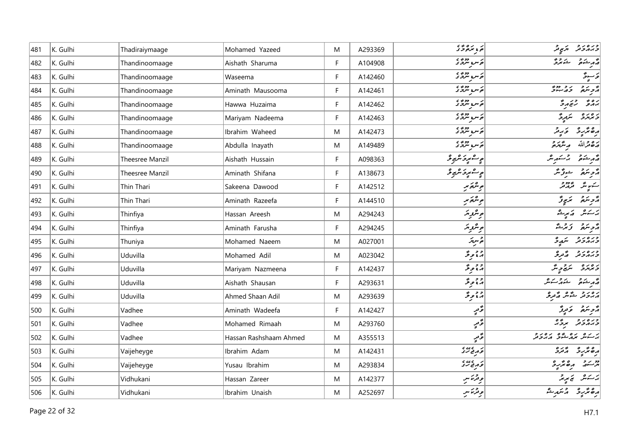| 481 | K. Gulhi | Thadiraiymaage         | Mohamed Yazeed         | M           | A293369 | ر به ره و ،<br>محمد مرهوم د            | כנסנב ת'תָבּ                                                                                                                                                                                                                                                                                                                                                                                                                                                                                    |
|-----|----------|------------------------|------------------------|-------------|---------|----------------------------------------|-------------------------------------------------------------------------------------------------------------------------------------------------------------------------------------------------------------------------------------------------------------------------------------------------------------------------------------------------------------------------------------------------------------------------------------------------------------------------------------------------|
| 482 | K. Gulhi | Thandinoomaage         | Aishath Sharuma        | F           | A104908 | ر<br>موسع مردم                         | $\begin{array}{c c}\n\hline\n\end{array}\n\qquad\n\begin{array}{c}\n\hline\n\end{array}\n\qquad\n\begin{array}{c}\n\hline\n\end{array}\n\hline\n\begin{array}{c}\n\hline\n\end{array}\n\hline\n\begin{array}{c}\n\hline\n\end{array}\n\hline\n\begin{array}{c}\n\hline\n\end{array}\n\hline\n\begin{array}{c}\n\hline\n\end{array}\n\hline\n\begin{array}{c}\n\hline\n\end{array}\n\hline\n\begin{array}{c}\n\hline\n\end{array}\n\hline\n\begin{array}{c}\n\hline\n\end{array}\n\h$<br>شە ئەرگ |
| 483 | K. Gulhi | Thandinoomaage         | Waseema                | $\mathsf F$ | A142460 | پر سوچوي<br>  پر سوچري                 |                                                                                                                                                                                                                                                                                                                                                                                                                                                                                                 |
| 484 | K. Gulhi | Thandinoomaage         | Aminath Mausooma       | F           | A142461 | ائر سو پېړۍ<br>———————                 | أأدبره<br>ر د دوءِ                                                                                                                                                                                                                                                                                                                                                                                                                                                                              |
| 485 | K. Gulhi | Thandinoomaage         | Hawwa Huzaima          | $\mathsf F$ | A142462 | ر<br>موسع مرچری                        | $5.62$ $50.2$                                                                                                                                                                                                                                                                                                                                                                                                                                                                                   |
| 486 | K. Gulhi | Thandinoomaage         | Mariyam Nadeema        | F           | A142463 | ر<br>موسع شر <del>چ</del> ری           | ر ه ر ه<br><del>د</del> بربرگ<br>سرورگ                                                                                                                                                                                                                                                                                                                                                                                                                                                          |
| 487 | K. Gulhi | Thandinoomaage         | Ibrahim Waheed         | M           | A142473 | ر<br>موسع مرچری                        | ە ھەترىر <sup>ە</sup><br>ءَ ٻه تر                                                                                                                                                                                                                                                                                                                                                                                                                                                               |
| 488 | K. Gulhi | Thandinoomaage         | Abdulla Inayath        | M           | A149489 | ر<br>مؤسو شرچری                        | <mark>بر22</mark> مرالله<br>ە ئىگەر 2                                                                                                                                                                                                                                                                                                                                                                                                                                                           |
| 489 | K. Gulhi | <b>Theesree Manzil</b> | Aishath Hussain        | F           | A098363 | <sub>م</sub> ې شمېرى <i>خ ن</i> ىرى ئى | ۇرىشكى برىكىرىگ                                                                                                                                                                                                                                                                                                                                                                                                                                                                                 |
| 490 | K. Gulhi | <b>Theesree Manzil</b> | Aminath Shifana        | F.          | A138673 | مو ڪمپر رَ سُريج ٿر                    | شور میگر<br>س<br>أثر دينهمج                                                                                                                                                                                                                                                                                                                                                                                                                                                                     |
| 491 | K. Gulhi | Thin Thari             | Sakeena Dawood         | F           | A142512 | موشركوسر                               | پر دو و.<br>تو <sub>م</sub> هر تور<br>سەر پىتىر                                                                                                                                                                                                                                                                                                                                                                                                                                                 |
| 492 | K. Gulhi | Thin Thari             | Aminath Razeefa        | F.          | A144510 | موسْرەتمىر                             | ۇ ئەسكە ئىستى ئە                                                                                                                                                                                                                                                                                                                                                                                                                                                                                |
| 493 | K. Gulhi | Thinfiya               | Hassan Areesh          | M           | A294243 | موشرو مر                               | يزكتها الاستعاثة                                                                                                                                                                                                                                                                                                                                                                                                                                                                                |
| 494 | K. Gulhi | Thinfiya               | Aminath Farusha        | $\mathsf F$ | A294245 | موشروبر                                | أزويتهم وترشأ                                                                                                                                                                                                                                                                                                                                                                                                                                                                                   |
| 495 | K. Gulhi | Thuniya                | Mohamed Naeem          | M           | A027001 | ەتبەر                                  | ورەر دىرە                                                                                                                                                                                                                                                                                                                                                                                                                                                                                       |
| 496 | K. Gulhi | Uduvilla               | Mohamed Adil           | M           | A023042 | وده وقر                                | ورەر دەري                                                                                                                                                                                                                                                                                                                                                                                                                                                                                       |
| 497 | K. Gulhi | Uduvilla               | Mariyam Nazmeena       | F.          | A142437 | وديموقر                                | د وړو شمځ د شگر                                                                                                                                                                                                                                                                                                                                                                                                                                                                                 |
| 498 | K. Gulhi | Uduvilla               | Aishath Shausan        | F           | A293631 | وديموقر                                | ۇرىشو شەرىسى                                                                                                                                                                                                                                                                                                                                                                                                                                                                                    |
| 499 | K. Gulhi | Uduvilla               | Ahmed Shaan Adil       | M           | A293639 | وديموقر                                | ره رو څر گريز                                                                                                                                                                                                                                                                                                                                                                                                                                                                                   |
| 500 | K. Gulhi | Vadhee                 | Aminath Wadeefa        | F           | A142427 | حٌسٍ                                   | أأدح مكتمر والمعرور                                                                                                                                                                                                                                                                                                                                                                                                                                                                             |
| 501 | K. Gulhi | Vadhee                 | Mohamed Rimaah         | M           | A293760 | ر<br>ح مر                              | כנסנב בס                                                                                                                                                                                                                                                                                                                                                                                                                                                                                        |
| 502 | K. Gulhi | Vadhee                 | Hassan Rashshaam Ahmed | M           | A355513 | ر<br>حومر                              | ر کے مگر شوی دورو                                                                                                                                                                                                                                                                                                                                                                                                                                                                               |
| 503 | K. Gulhi | Vaijeheyge             | Ibrahim Adam           | M           | A142431 | ر<br>تو در بی ری<br>ت                  | ە ئەرە ئەرە<br>بەھترى <sub>د</sub> ى مەر <i>ە</i>                                                                                                                                                                                                                                                                                                                                                                                                                                               |
| 504 | K. Gulhi | Vaijeheyge             | Yusau Ibrahim          | M           | A293834 | ر<br>تو د ق ری<br>ت                    | دو بر د<br>در سکه<br>دە ئەربى                                                                                                                                                                                                                                                                                                                                                                                                                                                                   |
| 505 | K. Gulhi | Vidhukani              | Hassan Zareer          | M           | A142377 | <sub>حو</sub> قرئما مبر                | يرسكش الجامريم                                                                                                                                                                                                                                                                                                                                                                                                                                                                                  |
| 506 | K. Gulhi | Vidhukani              | Ibrahim Unaish         | M           | A252697 | وقرئاسر                                | ופת כל היית ב                                                                                                                                                                                                                                                                                                                                                                                                                                                                                   |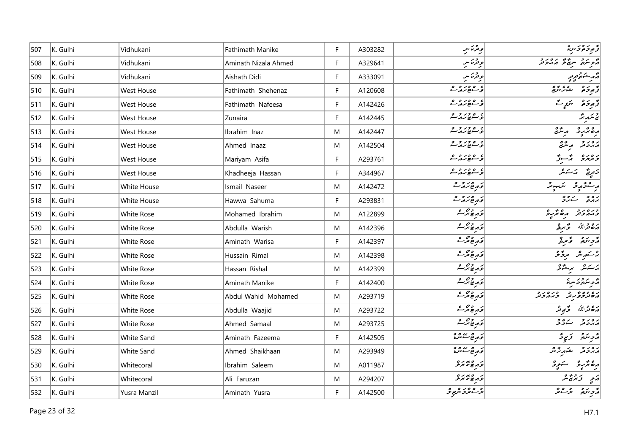| 507 | K. Gulhi | Vidhukani          | Fathimath Manike     | F         | A303282 | وقرئاسر                             | ا تو پر دې تر پارته<br>د سرچ پوځ تر پارت                        |
|-----|----------|--------------------|----------------------|-----------|---------|-------------------------------------|-----------------------------------------------------------------|
| 508 | K. Gulhi | Vidhukani          | Aminath Nizala Ahmed | F         | A329641 | ووژئمىز                             | أأدبتكم بتركيح أأبادته                                          |
| 509 | K. Gulhi | Vidhukani          | Aishath Didi         | F         | A333091 | وقرئدسر                             | ر<br>مرکز مشترکو تو تو                                          |
| 510 | K. Gulhi | West House         | Fathimath Shehenaz   | F         | A120608 | ې د د د د ه<br>و شوېر پر            | و مرد د<br>ره بر بر<br>مشرکتری                                  |
| 511 | K. Gulhi | West House         | Fathimath Nafeesa    | F         | A142426 | ې موږ د م                           | ۇ يەردە سىرىگە<br>ئۇ يورى سىرىگە<br>ئەسىرىگە                    |
| 512 | K. Gulhi | West House         | Zunaira              | F         | A142445 | ې د د بر د ه<br>مرگه شور ک          |                                                                 |
| 513 | K. Gulhi | West House         | Ibrahim Inaz         | ${\sf M}$ | A142447 | ې ده در د ه<br>مرگون کړ             | وەترىر ويترى                                                    |
| 514 | K. Gulhi | West House         | Ahmed Inaaz          | ${\sf M}$ | A142504 | ې موجود مه                          | أرور وبرمج                                                      |
| 515 | K. Gulhi | West House         | Mariyam Asifa        | F         | A293761 | ې ده در د ه<br>و شوم ته             | دەرە ئەسىر                                                      |
| 516 | K. Gulhi | <b>West House</b>  | Khadheeja Hassan     | F         | A344967 | ې ده در د ه<br>مرگون کړ             | كزمرقح الكاشكر                                                  |
| 517 | K. Gulhi | White House        | Ismail Naseer        | M         | A142472 | $\overline{\text{Ric}}$             | رىشۇر ئىر                                                       |
| 518 | K. Gulhi | <b>White House</b> | Hawwa Sahuma         | F         | A293831 | أقرم يؤرثه فسكر                     |                                                                 |
| 519 | K. Gulhi | White Rose         | Mohamed Ibrahim      | M         | A122899 | ورجوعه                              | כנים נכנים בינים                                                |
| 520 | K. Gulhi | White Rose         | Abdulla Warish       | M         | A142396 | ىر مەھتىرىشە<br>م                   | رەۋاللە ئۇمرۇ                                                   |
| 521 | K. Gulhi | White Rose         | Aminath Warisa       | F         | A142397 | أوربوع                              | أأزويتهم الأمراقي                                               |
| 522 | K. Gulhi | White Rose         | Hussain Rimal        | M         | A142398 | ا ئەرەتچە بە                        | 2سكەر مەردىمى                                                   |
| 523 | K. Gulhi | <b>White Rose</b>  | Hassan Rishal        | M         | A142399 | ورجوعه                              | بركش بريقى                                                      |
| 524 | K. Gulhi | White Rose         | Aminath Manike       | F         | A142400 | ورءٍ پر ہ                           | ۇ ئەستەدىسىدىكى                                                 |
| 525 | K. Gulhi | White Rose         | Abdul Wahid Mohamed  | M         | A293719 | ورجوعه                              | و ره ر د<br>تر پر ژنر<br>ر ه و ه بر بر<br>ه ه مرمر <i>ه ب</i> ر |
| 526 | K. Gulhi | White Rose         | Abdulla Waajid       | M         | A293722 | كروح ترعه                           | پرە قراللە ھەم قر                                               |
| 527 | K. Gulhi | White Rose         | Ahmed Samaal         | M         | A293725 | ەرە ئەر                             | رەرو سەرو                                                       |
| 528 | K. Gulhi | <b>White Sand</b>  | Aminath Fazeema      | F         | A142505 | أقرم هي عدة وق                      | د څر سره کام د کام                                              |
| 529 | K. Gulhi | <b>White Sand</b>  | Ahmed Shaikhaan      | M         | A293949 | ورقع سيموه                          | پروتر خهرتشر                                                    |
| 530 | K. Gulhi | Whitecoral         | Ibrahim Saleem       | M         | A011987 | ە مەھ ئىمىز                         | $\frac{3}{2}$                                                   |
| 531 | K. Gulhi | Whitecoral         | Ali Faruzan          | M         | A294207 | ە بەھ ئەيرو                         | ە ئەرەپچە                                                       |
| 532 | K. Gulhi | Yusra Manzil       | Aminath Yusra        | F         | A142500 | ى <sub>ر مە</sub> ر ئەر ئەر ئىچە ئى | أأروبتهم الرسائر                                                |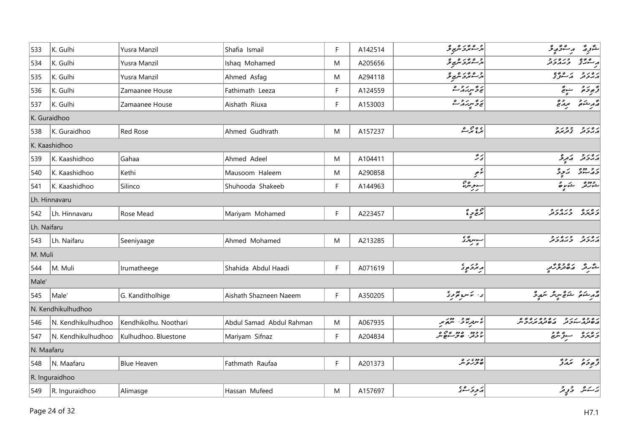| 533         | K. Gulhi           | Yusra Manzil          | Shafia Ismail            | F.        | A142514 | ى <i>ز شەنزە ئىرى</i> گى ئى              | شرورة وسودوع                                             |                         |
|-------------|--------------------|-----------------------|--------------------------|-----------|---------|------------------------------------------|----------------------------------------------------------|-------------------------|
| 534         | K. Gulhi           | Yusra Manzil          | Ishaq Mohamed            | M         | A205656 | -<br>پرېشمر د سر <sub>ک</sub> و          | ەر قەرەرد<br>مەسىرى تەمەدىر                              |                         |
| 535         | K. Gulhi           | Yusra Manzil          | Ahmed Asfag              | M         | A294118 | ې <sub>ر م</sub> وږې مو <sub>غ</sub> و   | رەرو بەرەپە                                              |                         |
| 536         | K. Gulhi           | Zamaanee House        | Fathimath Leeza          | F         | A124559 | ئە ئۇ سەر ئەر 2                          |                                                          | وٌجوحَ هَ سَبِيَّ       |
| 537         | K. Gulhi           | Zamaanee House        | Aishath Riuxa            | F.        | A153003 | ىر ئ <sup>ە</sup> سەر ئەرك               | وكرو مردح                                                |                         |
|             | K. Guraidhoo       |                       |                          |           |         |                                          |                                                          |                         |
| 538         | K. Guraidhoo       | <b>Red Rose</b>       | Ahmed Gudhrath           | ${\sf M}$ | A157237 | ، ە مەر ھ                                | ر ہ ر د د د د د<br>م.پروتر تختریزی                       |                         |
|             | K. Kaashidhoo      |                       |                          |           |         |                                          |                                                          |                         |
| 539         | K. Kaashidhoo      | Gahaa                 | Ahmed Adeel              | M         | A104411 | ىرچ                                      |                                                          | رەرو كېږى<br>مەدىر مەرى |
| 540         | K. Kaashidhoo      | Kethi                 | Mausoom Haleem           | M         | A290858 | ء<br>مو                                  | נג מם ג'קבר<br>בג' הרב ג'קבר                             |                         |
| 541         | K. Kaashidhoo      | Silinco               | Shuhooda Shakeeb         | F         | A144963 | اسوچين<br>ڪ                              | دوده شکره<br>شورتر شکره                                  |                         |
|             | Lh. Hinnavaru      |                       |                          |           |         |                                          |                                                          |                         |
| 542         | Lh. Hinnavaru      | Rose Mead             | Mariyam Mohamed          | F.        | A223457 | مرج حر ۽<br>  مرج حر ۽                   | נסנס כנסנב<br><i>כאתב ב</i> גובע                         |                         |
| Lh. Naifaru |                    |                       |                          |           |         |                                          |                                                          |                         |
| 543         | Lh. Naifaru        | Seeniyaage            | Ahmed Mohamed            | M         | A213285 | سە پەرەتى<br>ئاسىسى كەنتى<br>ئاسىسى      | נפנד בנסנד<br>גיבת בייתכת                                |                         |
| M. Muli     |                    |                       |                          |           |         |                                          |                                                          |                         |
| 544         | M. Muli            | Irumatheege           | Shahida Abdul Haadi      | F         | A071619 | وبردوء                                   | شررتر مەھىرورىر                                          |                         |
| Male'       |                    |                       |                          |           |         |                                          |                                                          |                         |
| 545         | Male'              | G. Kanditholhige      | Aishath Shazneen Naeem   | F         | A350205 | ، ئەسوغ دى                               | הוק בים בים ייקיית ייתוב                                 |                         |
|             | N. Kendhikulhudhoo |                       |                          |           |         |                                          |                                                          |                         |
| 546         | N. Kendhikulhudhoo | Kendhikolhu. Noothari | Abdul Samad Abdul Rahman | M         | A067935 | ئاس <sub>لىرىم</sub> ىتى ھەمبە           | ג ם כם גג כדי גם כם גם גם.<br>גם בקה היו כב הם בקה בגבית |                         |
| 547         | N. Kendhikulhudhoo | Kulhudhoo. Bluestone  | Mariyam Sifnaz           | F         | A204834 | و و دو او دو ۵ ۵ م<br>بربر دار دو سوم مر | גם גם בייתודים בייתודים<br>ביי <i>ת</i> ו <i>ד</i> ב     |                         |
| N. Maafaru  |                    |                       |                          |           |         |                                          |                                                          |                         |
| 548         | N. Maafaru         | <b>Blue Heaven</b>    | Fathmath Raufaa          | F         | A201373 | ه دد د ر ه<br>ح مورو س                   |                                                          | و ده دود                |
|             | R. Inguraidhoo     |                       |                          |           |         |                                          |                                                          |                         |
| 549         | R. Inguraidhoo     | Alimasge              | Hassan Mufeed            | M         | A157697 | ە ئەرىخ سىرى                             |                                                          | ىرىكىش ئۇيىتى           |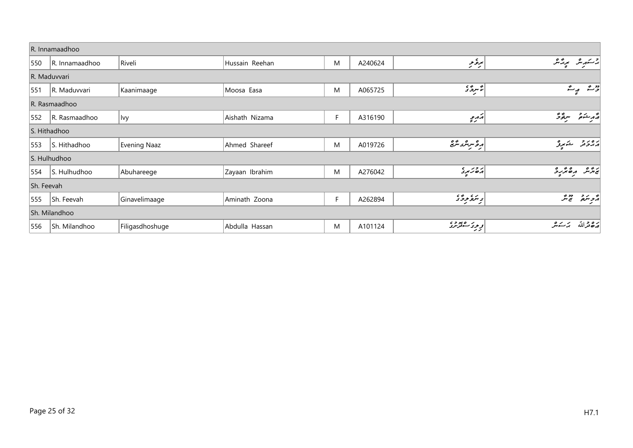|            | R. Innamaadhoo |                     |                |    |         |                                       |                                                                                                                    |
|------------|----------------|---------------------|----------------|----|---------|---------------------------------------|--------------------------------------------------------------------------------------------------------------------|
| 550        | R. Innamaadhoo | Riveli              | Hussain Reehan | M  | A240624 | لىمرغرمر                              | جاسكور مرتج مرتجر                                                                                                  |
|            | R. Maduvvari   |                     |                |    |         |                                       |                                                                                                                    |
| 551        | R. Maduvvari   | Kaanimaage          | Moosa Easa     | M  | A065725 | ش پېړۍ ته کا                          | ژے پٹ                                                                                                              |
|            | R. Rasmaadhoo  |                     |                |    |         |                                       |                                                                                                                    |
| 552        | R. Rasmaadhoo  | lvy                 | Aishath Nizama | F  | A316190 | مذمره                                 | $\begin{vmatrix} \hat{c}_1 & \hat{c}_2 & \hat{c}_3 \\ \hat{c}_1 & \hat{c}_2 & \hat{c}_3 & \hat{c}_4 \end{vmatrix}$ |
|            | S. Hithadhoo   |                     |                |    |         |                                       |                                                                                                                    |
| 553        | S. Hithadhoo   | <b>Evening Naaz</b> | Ahmed Shareef  | M  | A019726 | أروه سربندى مترجح                     | رەرد خىرو                                                                                                          |
|            | S. Hulhudhoo   |                     |                |    |         |                                       |                                                                                                                    |
| 554        | S. Hulhudhoo   | Abuhareege          | Zayaan Ibrahim | M  | A276042 | ىر قەئە ئىرى<br>مەھەر ئىرى            | اپر پر ہ<br>سی مرتبر<br>ە ھەترىرى                                                                                  |
| Sh. Feevah |                |                     |                |    |         |                                       |                                                                                                                    |
| 555        | Sh. Feevah     | Ginavelimaage       | Aminath Zoona  | F. | A262894 | ، ئەنگە ئەچرىقى<br>ئەنگىرىقى ئە       | أأز وسرة فلتحميض                                                                                                   |
|            | Sh. Milandhoo  |                     |                |    |         |                                       |                                                                                                                    |
| 556        | Sh. Milandhoo  | Filigasdhoshuge     | Abdulla Hassan | M  | A101124 | و و که ده پیو و ،<br>و و که سه تعریبی | ايرە قراللە                                                                                                        |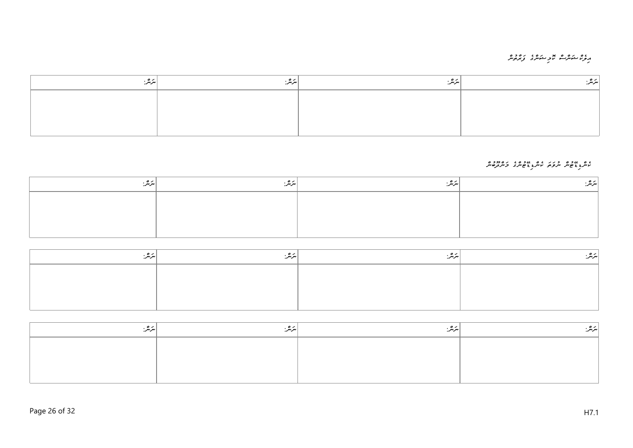## *w7qAn8m? sCw7mRo>u; wEw7mRw;sBo<*

| ' مرمر | 'يئرىثر: |
|--------|----------|
|        |          |
|        |          |
|        |          |

## *w7q9r@w7m> sCw7qHtFoFw7s; mAm=q7 w7qHtFoFw7s;*

| ىر تە | $\mathcal{O} \times$<br>$\sim$ | $\sim$<br>. . | لترنثر |
|-------|--------------------------------|---------------|--------|
|       |                                |               |        |
|       |                                |               |        |
|       |                                |               |        |

| $\frac{\partial}{\partial x}$ | $^{\circ}$ | $\frac{2}{n}$ | $^{\circ}$<br>سرسر. |
|-------------------------------|------------|---------------|---------------------|
|                               |            |               |                     |
|                               |            |               |                     |
|                               |            |               |                     |

| ىرتىر: | 。<br>سر سر | .,<br>مرسر |
|--------|------------|------------|
|        |            |            |
|        |            |            |
|        |            |            |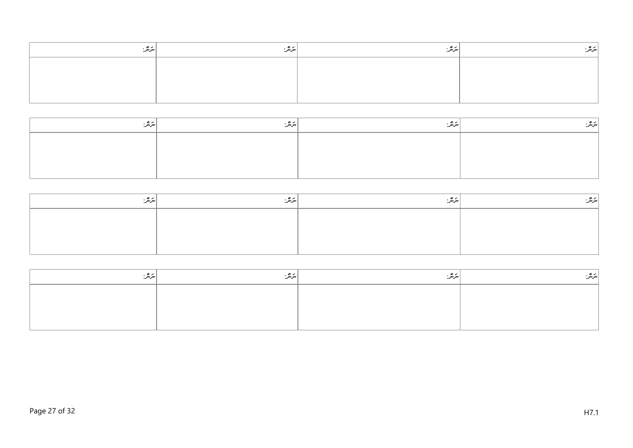| يره. | ο. | ا ير ه |  |
|------|----|--------|--|
|      |    |        |  |
|      |    |        |  |
|      |    |        |  |

| <sup>.</sup> سرسر. |  |
|--------------------|--|
|                    |  |
|                    |  |
|                    |  |

| ىئرىتر. | $\sim$ | ا بر هه. | لىرىش |
|---------|--------|----------|-------|
|         |        |          |       |
|         |        |          |       |
|         |        |          |       |

| 。<br>مرس. | $\overline{\phantom{a}}$<br>مر مىر | يتريثر |
|-----------|------------------------------------|--------|
|           |                                    |        |
|           |                                    |        |
|           |                                    |        |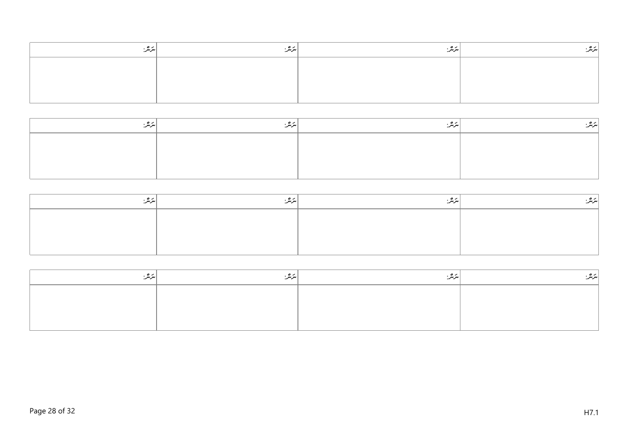| ير هو . | $\overline{\phantom{a}}$ | يرمر | اير هنه. |
|---------|--------------------------|------|----------|
|         |                          |      |          |
|         |                          |      |          |
|         |                          |      |          |

| ىر تىر: | $\circ$ $\sim$<br>" سرسر . | يبرحه | o . |
|---------|----------------------------|-------|-----|
|         |                            |       |     |
|         |                            |       |     |
|         |                            |       |     |

| انترنثر: | ر ه |  |
|----------|-----|--|
|          |     |  |
|          |     |  |
|          |     |  |

|  | . ه |
|--|-----|
|  |     |
|  |     |
|  |     |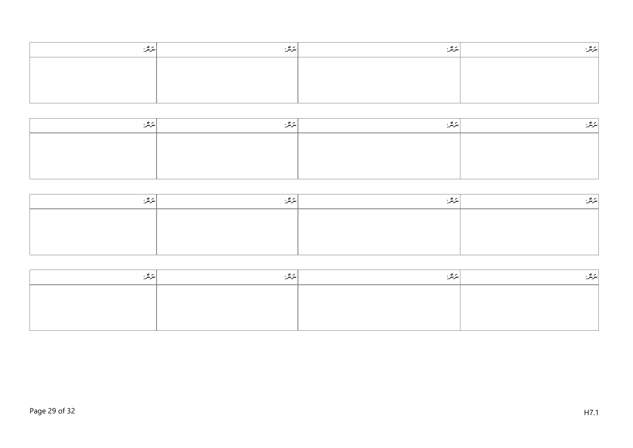| ير هو . | $\overline{\phantom{a}}$ | يرمر | اير هنه. |
|---------|--------------------------|------|----------|
|         |                          |      |          |
|         |                          |      |          |
|         |                          |      |          |

| ئىرتىر: | $\sim$<br>ا سرسر . | يئرمثر | o . |
|---------|--------------------|--------|-----|
|         |                    |        |     |
|         |                    |        |     |
|         |                    |        |     |

| انترنثر: | ر ه |  |
|----------|-----|--|
|          |     |  |
|          |     |  |
|          |     |  |

|  | . ه |
|--|-----|
|  |     |
|  |     |
|  |     |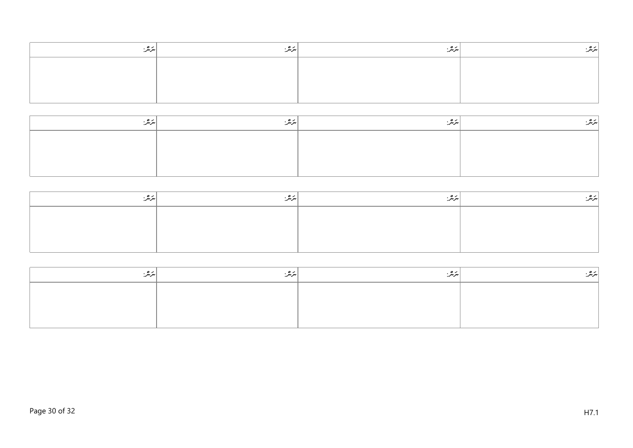| $\frac{\circ}{\cdot}$ | 。 | $\frac{\circ}{\cdot}$ | $\sim$<br>سرسر |
|-----------------------|---|-----------------------|----------------|
|                       |   |                       |                |
|                       |   |                       |                |
|                       |   |                       |                |

| ترتثر: | َ سرسر. |  |
|--------|---------|--|
|        |         |  |
|        |         |  |
|        |         |  |

| بر ه | . ه | $\overline{\phantom{0}}$<br>سرسر |  |
|------|-----|----------------------------------|--|
|      |     |                                  |  |
|      |     |                                  |  |
|      |     |                                  |  |

| 。<br>. س | ىرىىر |  |
|----------|-------|--|
|          |       |  |
|          |       |  |
|          |       |  |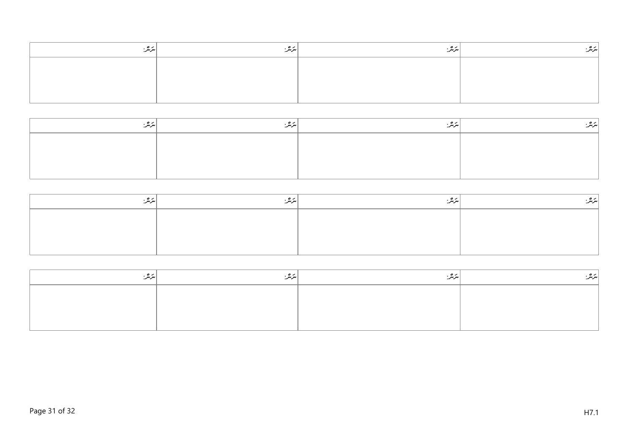| ير هو . | $\overline{\phantom{a}}$ | يرمر | اير هنه. |
|---------|--------------------------|------|----------|
|         |                          |      |          |
|         |                          |      |          |
|         |                          |      |          |

| ىر تىر: | $\circ$ $\sim$<br>" سرسر . | يبرحه | o . |
|---------|----------------------------|-------|-----|
|         |                            |       |     |
|         |                            |       |     |
|         |                            |       |     |

| 'تترنثر: | 。<br>,,,, |  |
|----------|-----------|--|
|          |           |  |
|          |           |  |
|          |           |  |

|  | . ه |
|--|-----|
|  |     |
|  |     |
|  |     |